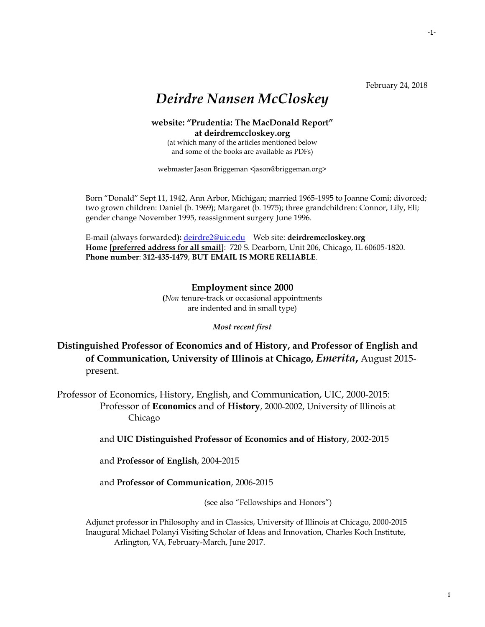February 24, 2018

# *Deirdre Nansen McCloskey*

### **website: "Prudentia: The MacDonald Report" at deirdremccloskey.org**

(at which many of the articles mentioned below and some of the books are available as PDFs)

webmaster Jason Briggeman <jason@briggeman.org>

Born "Donald" Sept 11, 1942, Ann Arbor, Michigan; married 1965-1995 to Joanne Comi; divorced; two grown children: Daniel (b. 1969); Margaret (b. 1975); three grandchildren: Connor, Lily, Eli; gender change November 1995, reassignment surgery June 1996.

E-mail (always forwarded**):** [deirdre2@uic.edu](mailto:deirdre2@uic.edu) Web site: **deirdremccloskey.org Home [preferred address for all smail]**: 720 S. Dearborn, Unit 206, Chicago, IL 60605-1820. **Phone number**: **312-435-1479**, **BUT EMAIL IS MORE RELIABLE**.

> **Employment since 2000 (***Non* tenure-track or occasional appointments are indented and in small type)

> > *Most recent first*

**Distinguished Professor of Economics and of History, and Professor of English and of Communication, University of Illinois at Chicago,** *Emerita***,** August 2015 present.

Professor of Economics, History, English, and Communication, UIC, 2000-2015: Professor of **Economics** and of **History**, 2000-2002, University of Illinois at Chicago

and **UIC Distinguished Professor of Economics and of History**, 2002-2015

and **Professor of English**, 2004-2015

and **Professor of Communication**, 2006-2015

(see also "Fellowships and Honors")

Adjunct professor in Philosophy and in Classics, University of Illinois at Chicago, 2000-2015 Inaugural Michael Polanyi Visiting Scholar of Ideas and Innovation, Charles Koch Institute, Arlington, VA, February-March, June 2017.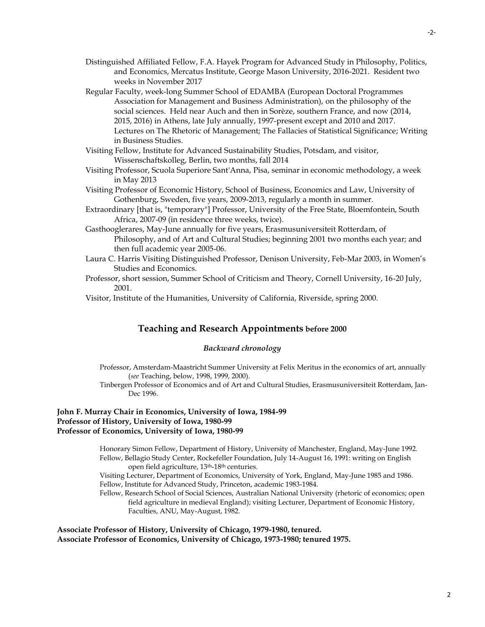- Distinguished Affiliated Fellow, F.A. Hayek Program for Advanced Study in Philosophy, Politics, and Economics, Mercatus Institute, George Mason University, 2016-2021. Resident two weeks in November 2017
- Regular Faculty, week-long Summer School of EDAMBA (European Doctoral Programmes Association for Management and Business Administration), on the philosophy of the social sciences. Held near Auch and then in Sorèze, southern France, and now (2014, 2015, 2016) in Athens, late July annually, 1997-present except and 2010 and 2017. Lectures on The Rhetoric of Management; The Fallacies of Statistical Significance; Writing in Business Studies.
- Visiting Fellow, Institute for Advanced Sustainability Studies, Potsdam, and visitor, Wissenschaftskolleg, Berlin, two months, fall 2014
- Visiting Professor, Scuola Superiore Sant'Anna, Pisa, seminar in economic methodology, a week in May 2013
- Visiting Professor of Economic History, School of Business, Economics and Law, University of Gothenburg, Sweden, five years, 2009-2013, regularly a month in summer.
- Extraordinary [that is, "temporary"] Professor, University of the Free State, Bloemfontein, South Africa, 2007-09 (in residence three weeks, twice).
- Gasthooglerares, May-June annually for five years, Erasmusuniversiteit Rotterdam, of Philosophy, and of Art and Cultural Studies; beginning 2001 two months each year; and then full academic year 2005-06.
- Laura C. Harris Visiting Distinguished Professor, Denison University, Feb-Mar 2003, in Women's Studies and Economics.
- Professor, short session, Summer School of Criticism and Theory, Cornell University, 16-20 July, 2001.
- Visitor, Institute of the Humanities, University of California, Riverside, spring 2000.

### **Teaching and Research Appointments before 2000**

#### *Backward chronology*

- Professor, Amsterdam-Maastricht Summer University at Felix Meritus in the economics of art, annually (*see* Teaching, below, 1998, 1999, 2000).
- Tinbergen Professor of Economics and of Art and Cultural Studies, Erasmusuniversiteit Rotterdam, Jan-Dec 1996.

#### **John F. Murray Chair in Economics, University of Iowa, 1984-99 Professor of History, University of Iowa, 1980-99 Professor of Economics, University of Iowa, 1980-99**

Honorary Simon Fellow, Department of History, University of Manchester, England, May-June 1992. Fellow, Bellagio Study Center, Rockefeller Foundation, July 14-August 16, 1991: writing on English open field agriculture, 13th-18th centuries.

Visiting Lecturer, Department of Economics, University of York, England, May-June 1985 and 1986. Fellow, Institute for Advanced Study, Princeton, academic 1983-1984.

Fellow, Research School of Social Sciences, Australian National University (rhetoric of economics; open field agriculture in medieval England); visiting Lecturer, Department of Economic History, Faculties, ANU, May-August, 1982.

**Associate Professor of History, University of Chicago, 1979-1980, tenured. Associate Professor of Economics, University of Chicago, 1973-1980; tenured 1975.**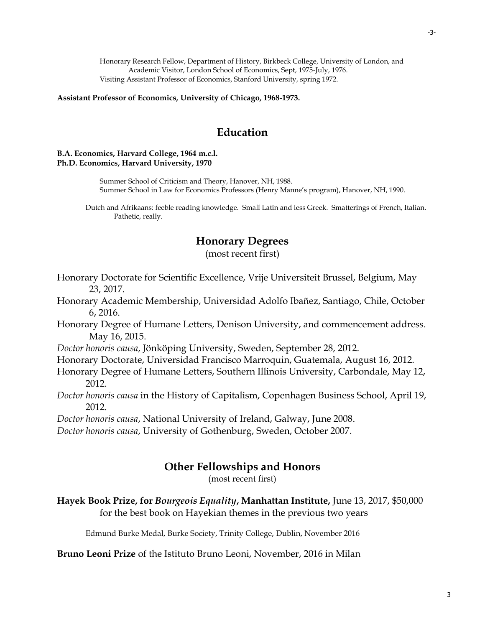Honorary Research Fellow, Department of History, Birkbeck College, University of London, and Academic Visitor, London School of Economics, Sept, 1975-July, 1976. Visiting Assistant Professor of Economics, Stanford University, spring 1972.

**Assistant Professor of Economics, University of Chicago, 1968-1973.**

### **Education**

#### **B.A. Economics, Harvard College, 1964 m.c.l. Ph.D. Economics, Harvard University, 1970**

Summer School of Criticism and Theory, Hanover, NH, 1988. Summer School in Law for Economics Professors (Henry Manne's program), Hanover, NH, 1990.

Dutch and Afrikaans: feeble reading knowledge. Small Latin and less Greek. Smatterings of French, Italian. Pathetic, really.

### **Honorary Degrees**

(most recent first)

- Honorary Doctorate for Scientific Excellence, Vrije Universiteit Brussel, Belgium, May 23, 2017.
- Honorary Academic Membership, Universidad Adolfo Ibañez, Santiago, Chile, October 6, 2016.
- Honorary Degree of Humane Letters, Denison University, and commencement address. May 16, 2015.
- *Doctor honoris causa*, Jönköping University, Sweden, September 28, 2012.
- Honorary Doctorate, Universidad Francisco Marroquin, Guatemala, August 16, 2012.
- Honorary Degree of Humane Letters, Southern Illinois University, Carbondale, May 12, 2012.
- *Doctor honoris causa* in the History of Capitalism, Copenhagen Business School, April 19, 2012.

*Doctor honoris causa*, National University of Ireland, Galway, June 2008.

*Doctor honoris causa*, University of Gothenburg, Sweden, October 2007.

### **Other Fellowships and Honors**

(most recent first)

**Hayek Book Prize, for** *Bourgeois Equality***, Manhattan Institute,** June 13, 2017, \$50,000 for the best book on Hayekian themes in the previous two years

Edmund Burke Medal, Burke Society, Trinity College, Dublin, November 2016

**Bruno Leoni Prize** of the Istituto Bruno Leoni, November, 2016 in Milan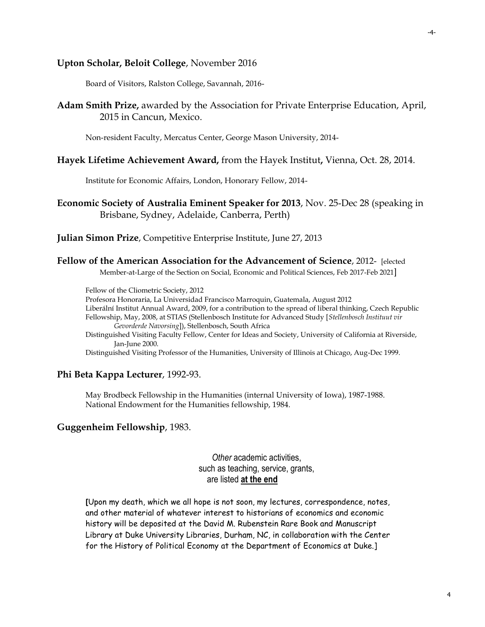### **Upton Scholar, Beloit College**, November 2016

Board of Visitors, Ralston College, Savannah, 2016-

**Adam Smith Prize,** awarded by the Association for Private Enterprise Education, April, 2015 in Cancun, Mexico.

Non-resident Faculty, Mercatus Center, George Mason University, 2014-

### **Hayek Lifetime Achievement Award,** from the Hayek Institut**,** Vienna, Oct. 28, 2014.

Institute for Economic Affairs, London, Honorary Fellow, 2014-

**Economic Society of Australia Eminent Speaker for 2013**, Nov. 25-Dec 28 (speaking in Brisbane, Sydney, Adelaide, Canberra, Perth)

**Julian Simon Prize**, Competitive Enterprise Institute, June 27, 2013

```
Fellow of the American Association for the Advancement of Science, 2012- [elected
```
Member-at-Large of the Section on Social, Economic and Political Sciences, Feb 2017-Feb 2021]

Fellow of the Cliometric Society, 2012

Profesora Honoraria, La Universidad Francisco Marroquin, Guatemala, August 2012

Liberální Institut Annual Award, 2009, for a contribution to the spread of liberal thinking, Czech Republic

Fellowship, May, 2008, at STIAS (Stellenbosch Institute for Advanced Study [*Stellenbosch Instituut vir Gevorderde Navorsing*]), Stellenbosch, South Africa

Distinguished Visiting Faculty Fellow, Center for Ideas and Society, University of California at Riverside, Jan-June 2000.

Distinguished Visiting Professor of the Humanities, University of Illinois at Chicago, Aug-Dec 1999.

### **Phi Beta Kappa Lecturer**, 1992-93.

May Brodbeck Fellowship in the Humanities (internal University of Iowa), 1987-1988. National Endowment for the Humanities fellowship, 1984.

### **Guggenheim Fellowship**, 1983.

*Other* academic activities, such as teaching, service, grants, are listed **at the end**

**[**Upon my death, which we all hope is not soon, my lectures, correspondence, notes, and other material of whatever interest to historians of economics and economic history will be deposited at the David M. Rubenstein Rare Book and Manuscript Library at Duke University Libraries, Durham, NC, in collaboration with the Center for the History of Political Economy at the Department of Economics at Duke.]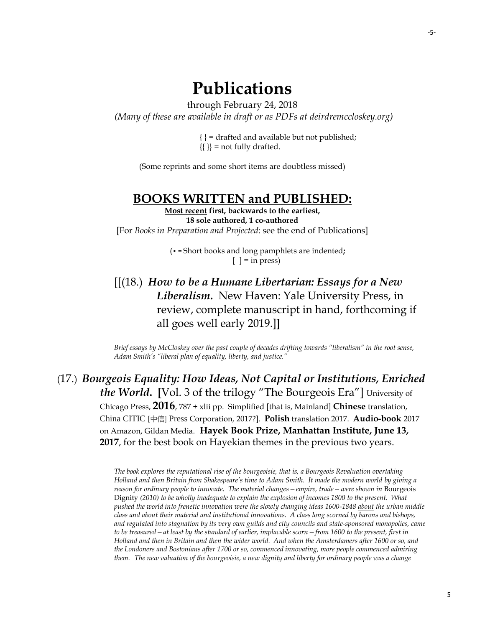-5-

# **Publications**

through February 24, 2018 *(Many of these are available in draft or as PDFs at deirdremccloskey.org)*

> { } = drafted and available but not published;  $\{\{\}\}$  = not fully drafted.

(Some reprints and some short items are doubtless missed)

### **BOOKS WRITTEN and PUBLISHED:**

**Most recent first, backwards to the earliest, 18 sole authored, 1 co-authored** [For *Books in Preparation and Projected*: see the end of Publications]

> (• = Short books and long pamphlets are indented**;**   $[$   $] =$  in press)

[[(18.) *How to be a Humane Libertarian: Essays for a New Liberalism***.** New Haven: Yale University Press, in review, complete manuscript in hand, forthcoming if all goes well early 2019.]**]**

*Brief essays by McCloskey over the past couple of decades drifting towards "liberalism" in the root sense, Adam Smith's "liberal plan of equality, liberty, and justice."*

(17.) *Bourgeois Equality: How Ideas, Not Capital or Institutions, Enriched the World***. [**Vol. 3 of the trilogy "The Bourgeois Era"] University of Chicago Press, **2016**, 787 + xlii pp. Simplified [that is, Mainland] **Chinese** translation, China CITIC [中信] Press Corporation, 2017?]. **Polish** translation 2017. **Audio-book** 2017 on Amazon, Gildan Media. **Hayek Book Prize, Manhattan Institute, June 13, 2017**, for the best book on Hayekian themes in the previous two years.

> *The book explores the reputational rise of the bourgeoisie, that is, a Bourgeois Revaluation overtaking Holland and then Britain from Shakespeare's time to Adam Smith. It made the modern world by giving a reason for ordinary people to innovate. The material changes—empire, trade—were shown in* Bourgeois Dignity *(2010) to be wholly inadequate to explain the explosion of incomes 1800 to the present. What pushed the world into frenetic innovation were the slowly changing ideas 1600-1848 about the urban middle class and about their material and institutional innovations. A class long scorned by barons and bishops, and regulated into stagnation by its very own guilds and city councils and state-sponsored monopolies, came to be treasured—at least by the standard of earlier, implacable scorn—from 1600 to the present, first in Holland and then in Britain and then the wider world. And when the Amsterdamers after 1600 or so, and the Londoners and Bostonians after 1700 or so, commenced innovating, more people commenced admiring them. The new valuation of the bourgeoisie, a new dignity and liberty for ordinary people was a change*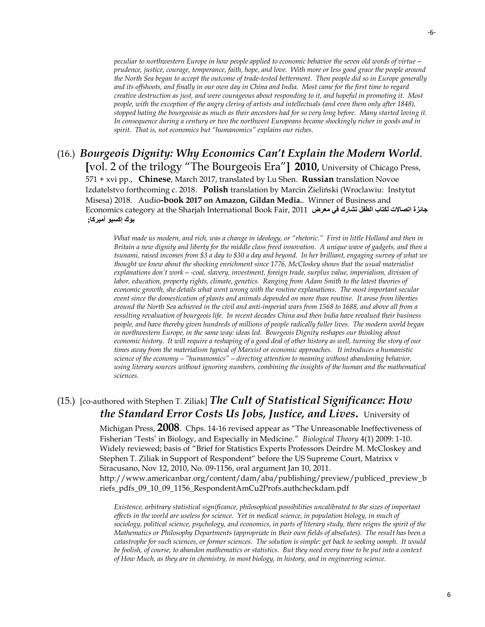-6-

*peculiar to northwestern Europe in how people applied to economic behavior the seven old words of virtue prudence, justice, courage, temperance, faith, hope, and love. With more or less good grace the people around the North Sea began to accept the outcome of trade-tested betterment. Then people did so in Europe generally and its offshoots, and finally in our own day in China and India. Most came for the first time to regard creative destruction as just, and were courageous about responding to it, and hopeful in promoting it. Most people, with the exception of the angry clerisy of artists and intellectuals (and even them only after 1848), stopped hating the bourgeoisie as much as their ancestors had for so very long before. Many started loving it. In consequence during a century or two the northwest Europeans became shockingly richer in goods and in spirit. That is, not economics but "humanomics" explains our riches.*

### (16.) *Bourgeois Dignity: Why Economics Can't Explain the Modern World*. **[**vol. 2 of the trilogy "The Bourgeois Era"**] 2010,** University of Chicago Press, 571 + xvi pp., **Chinese**, March 2017, translated by Lu Shen. **Russian** translation Novoe Izdatelstvo forthcoming c. 2018. **Polish** translation by Marcin Zieliński (Wroclawiu: Instytut Misesa) 2018.Audio**-book 2017 on Amazon, Gildan Media.**. Winner of Business and Economics category at th[e Sharjah International Book Fair,](http://www.facebook.com/pages/Sharjah-International-Book-Fair/104036462968599) 2011 **معرض في تشارك الطفل لكتاب اتصاالت جائزة بوك إكسبو أميركا;**

*What made us modern, and rich, was a change in ideology, or "rhetoric." First in little Holland and then in Britain a new dignity and liberty for the middle class freed innovation. A unique wave of gadgets, and then a tsunami, raised incomes from \$3 a day to \$30 a day and beyond. In her brilliant, engaging survey of what we thought we knew about the shocking enrichment since 1776, McCloskey shows that the usual materialist explanations don't work—-coal, slavery, investment, foreign trade, surplus value, imperialism, division of labor, education, property rights, climate, genetics. Ranging from Adam Smith to the latest theories of economic growth, she details what went wrong with the routine explanations. The most important secular event since the domestication of plants and animals depended on more than routine. It arose from liberties around the North Sea achieved in the civil and anti-imperial wars from 1568 to 1688, and above all from a resulting revaluation of bourgeois life. In recent decades China and then India have revalued their business people, and have thereby given hundreds of millions of people radically fuller lives. The modern world began in northwestern Europe, in the same way: ideas led. Bourgeois Dignity reshapes our thinking about economic history. It will require a reshaping of a good deal of other history as well, turning the story of our times away from the materialism typical of Marxist or economic approaches. It introduces a humanistic science of the economy—"humanomics"—directing attention to meaning without abandoning behavior, using literary sources without ignoring numbers, combining the insights of the human and the mathematical sciences.* 

# (15.) [co-authored with Stephen T. Ziliak] *The Cult of Statistical Significance: How the Standard Error Costs Us Jobs, Justice, and Lives***.** University of

Michigan Press, **2008**. Chps. 14-16 revised appear as "The Unreasonable Ineffectiveness of Fisherian 'Tests' in Biology, and Especially in Medicine." *Biological Theory* 4(1) 2009: 1-10. Widely reviewed; basis of "[Brief for Statistics Experts Professors Deirdre M. McCloskey and](http://www.abanet.org/publiced/preview/briefs/pdfs/09-10/09-1156_RespondentAmCu2Profs.pdf)  Stephen T. Ziliak [in Support of Respondent](http://www.abanet.org/publiced/preview/briefs/pdfs/09-10/09-1156_RespondentAmCu2Profs.pdf)" before the US Supreme Court, Matrixx v Siracusano, Nov 12, 2010, No. 09-1156, oral argument Jan 10, 2011. http://www.americanbar.org/content/dam/aba/publishing/preview/publiced\_preview\_b riefs\_pdfs\_09\_10\_09\_1156\_RespondentAmCu2Profs.authcheckdam.pdf

*Existence, arbitrary statistical significance, philosophical possibilities uncalibrated to the sizes of important effects in the world are useless for science. Yet in medical science, in population biology, in much of sociology, political science, psychology, and economics, in parts of literary study, there reigns the spirit of the Mathematics or Philosophy Departments (appropriate in their own fields of absolutes). The result has been a catastrophe for such sciences, or former sciences. The solution is simple: get back to seeking oomph. It would be foolish, of course, to abandon mathematics or statistics. But they need every time to be put into a context of How Much, as they are in chemistry, in most biology, in history, and in engineering science.*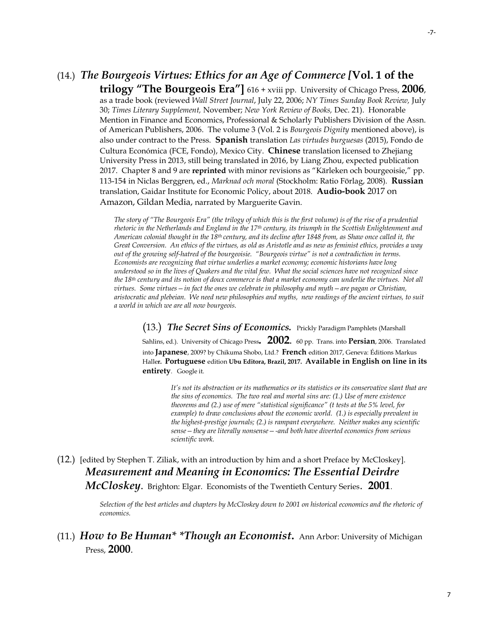# (14.) *The Bourgeois Virtues: Ethics for an Age of Commerce [***Vol. 1 of the**

**trilogy "The Bourgeois Era"]** 616 + xviii pp. University of Chicago Press, **2006**, as a trade book (reviewed *Wall Street Journal*, July 22, 2006; *NY Times Sunday Book Review,* July 30; *Times Literary Supplement,* November; *New York Review of Books,* Dec. 21). Honorable Mention in Finance and Economics, Professional & Scholarly Publishers Division of the Assn. of American Publishers, 2006. The volume 3 (Vol. 2 is *Bourgeois Dignity* mentioned above), is also under contract to the Press. **Spanish** translation *Las virtudes burguesas* (2015), Fondo de Cultura Económica (FCE, Fondo), Mexico City. **Chinese** translation licensed to Zhejiang University Press in 2013, still being translated in 2016, by Liang Zhou, expected publication 2017. Chapter 8 and 9 are **reprinted** with minor revisions as "Kärleken och bourgeoisie," pp. 113-154 in Niclas Berggren, ed., *Marknad och moral* (Stockholm: Ratio Förlag, 2008). **Russian** translation, Gaidar Institute for Economic Policy, about 2018. **Audio-book** 2017 on Amazon, Gildan Media, narrated by Marguerite Gavin.

*The story of "The Bourgeois Era" (the trilogy of which this is the first volume) is of the rise of a prudential rhetoric in the Netherlands and England in the 17th century, its triumph in the Scottish Enlightenment and American colonial thought in the 18th century, and its decline after 1848 from, as Shaw once called it, the Great Conversion. An ethics of the virtues, as old as Aristotle and as new as feminist ethics, provides a way out of the growing self-hatred of the bourgeoisie. "Bourgeois virtue" is not a contradiction in terms. Economists are recognizing that virtue underlies a market economy; economic historians have long understood so in the lives of Quakers and the vital few. What the social sciences have not recognized since the 18th century and its notion of doux commerce is that a market economy can underlie the virtues. Not all virtues. Some virtues—in fact the ones we celebrate in philosophy and myth—are pagan or Christian, aristocratic and plebeian. We need new philosophies and myths, new readings of the ancient virtues, to suit a world in which we are all now bourgeois.*

(13.) *The Secret Sins of Economics.* Prickly Paradigm Pamphlets (Marshall

Sahlins, ed.). University of Chicago Press*.* **2002.** 60 pp. Trans. into **Persian**, 2006. Translated into **Japanese**, 2009? by Chikuma Shobo, Ltd.? **French** edition 2017, Geneva: Éditions Markus Halle**r. Portuguese** edition **Ubu Editora, Brazil, 2017. Available in English on line in its entirety**. Google it.

*It's not its abstraction or its mathematics or its statistics or its conservative slant that are the sins of economics. The two real and mortal sins are: (1.) Use of mere existence theorems and (2.) use of mere "statistical significance" (t tests at the 5% level, for example) to draw conclusions about the economic world. (1.) is especially prevalent in the highest-prestige journals; (2.) is rampant everywhere. Neither makes any scientific sense—they are literally nonsense—-and both have diverted economics from serious scientific work.*

(12.) [edited by Stephen T. Ziliak, with an introduction by him and a short Preface by McCloskey]. *Measurement and Meaning in Economics: The Essential Deirdre McCloskey*. Brighton: Elgar. Economists of the Twentieth Century Series. **2001**.

> *Selection of the best articles and chapters by McCloskey down to 2001 on historical economics and the rhetoric of economics.*

(11.) *How to Be Human\* \*Though an Economist***.** Ann Arbor: University of Michigan Press, **2000**.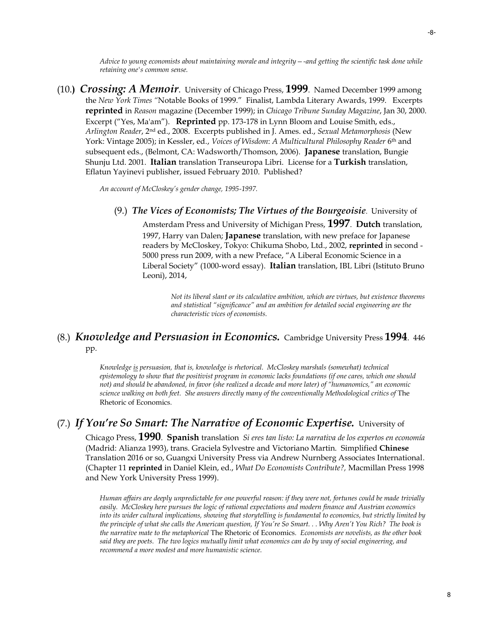-8-

*Advice to young economists about maintaining morale and integrity—-and getting the scientific task done while retaining one's common sense.* 

(10.**)** *Crossing: A Memoir*. University of Chicago Press, **1999**. Named December 1999 among the *New York Times "*Notable Books of 1999." Finalist, Lambda Literary Awards, 1999. Excerpts **reprinted** in *Reason* magazine (December 1999); in *Chicago Tribune Sunday Magazine*, Jan 30, 2000. Excerpt ("Yes, Ma'am"). **Reprinted** pp. 173-178 in Lynn Bloom and Louise Smith, eds., *Arlington Reader*, 2nd ed., 2008. Excerpts published in J. Ames. ed., *Sexual Metamorphosis* (New York: Vintage 2005); in Kessler, ed., *Voices of Wisdom*: *A Multicultural Philosophy Reader* 6 th and subsequent eds., (Belmont, CA: Wadsworth/Thomson, 2006). **Japanese** translation, Bungie Shunju Ltd. 2001. **Italian** translation Transeuropa Libri. License for a **Turkish** translation, Eflatun Yayinevi publisher, issued February 2010. Published?

*An account of McCloskey's gender change, 1995-1997.*

(9.) *The Vices of Economists; The Virtues of the Bourgeoisie*. University of Amsterdam Press and University of Michigan Press, **1997**. **Dutch** translation, 1997, Harry van Dalen; **Japanese** translation, with new preface for Japanese readers by McCloskey, Tokyo: Chikuma Shobo, Ltd., 2002, **reprinted** in second - 5000 press run 2009, with a new Preface, "A Liberal Economic Science in a Liberal Society" (1000-word essay). **Italian** translation, IBL Libri (Istituto Bruno Leoni), 2014,

> *Not its liberal slant or its calculative ambition, which are virtues, but existence theorems and statistical "significance" and an ambition for detailed social engineering are the characteristic vices of economists.*

### (8.) *Knowledge and Persuasion in Economics.* Cambridge University Press **1994**. 446 pp.

*Knowledge is persuasion, that is, knowledge is rhetorical. McCloskey marshals (somewhat) technical epistemology to show that the positivist program in economic lacks foundations (if one cares, which one should not) and should be abandoned, in favor (she realized a decade and more later) of "humanomics," an economic*  science walking on both feet. She answers directly many of the conventionally Methodological critics of The Rhetoric of Economics*.*

### (7.) *If You're So Smart: The Narrative of Economic Expertise.* University of

Chicago Press, **1990**. **Spanish** translation *Si eres tan listo: La narrativa de los expertos en economía*  (Madrid: Alianza 1993), trans. Graciela Sylvestre and Victoriano Martin. Simplified **Chinese** Translation 2016 or so, Guangxi University Press via Andrew Nurnberg Associates International. (Chapter 11 **reprinted** in Daniel Klein, ed., *What Do Economists Contribute?,* Macmillan Press 1998 and New York University Press 1999).

*Human affairs are deeply unpredictable for one powerful reason: if they were not, fortunes could be made trivially easily. McCloskey here pursues the logic of rational expectations and modern finance and Austrian economics into its wider cultural implications, showing that storytelling is fundamental to economics, but strictly limited by the principle of what she calls the American question, If You're So Smart. . . Why Aren't You Rich? The book is the narrative mate to the metaphorical* The Rhetoric of Economics*. Economists are novelists, as the other book said they are poets. The two logics mutually limit what economics can do by way of social engineering, and recommend a more modest and more humanistic science.*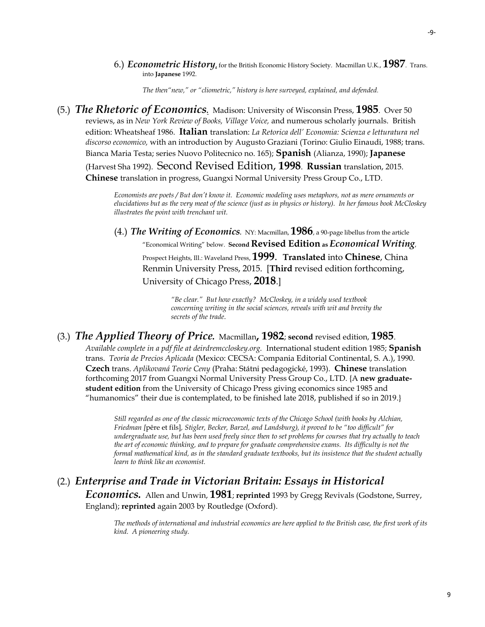*The then"new," or "cliometric," history is here surveyed, explained, and defended.*

(5.) *The Rhetoric of Economics.* Madison: University of Wisconsin Press, **1985**. Over 50 reviews, as in *New York Review of Books, Village Voice,* and numerous scholarly journals. British edition: Wheatsheaf 1986. **Italian** translation: *La Retorica dell' Economia: Scienza e letturatura nel discorso economico,* with an introduction by Augusto Graziani (Torino: Giulio Einaudi, 1988; trans. Bianca Maria Testa; series Nuovo Politecnico no. 165); **Spanish** (Alianza, 1990); **Japanese** (Harvest Sha 1992). Second Revised Edition, **1998**. **Russian** translation, 2015. **Chinese** translation in progress, Guangxi Normal University Press Group Co., LTD.

> *Economists are poets / But don't know it. Economic modeling uses metaphors, not as mere ornaments or elucidations but as the very meat of the science (just as in physics or history). In her famous book McCloskey illustrates the point with trenchant wit.*

(4.) *The Writing of Economics.* NY: Macmillan, **1986**, a 90-page libellus from the article "Economical Writing" below. **Second Revised Edition as** *Economical Writing*, Prospect Heights, Ill.: Waveland Press, **1999**. **Translated** into **Chinese**, China Renmin University Press, 2015. [**Third** revised edition forthcoming, University of Chicago Press, **2018**.]

> *"Be clear." But how exactly? McCloskey, in a widely used textbook concerning writing in the social sciences, reveals with wit and brevity the secrets of the trade*.

### (3.) *The Applied Theory of Price.* Macmillan**, 1982**; **second** revised edition, **1985**.

*Available complete in a pdf file at deirdremccloskey.org.* International student edition 1985; **Spanish** trans. *Teoria de Precios Aplicada* (Mexico: CECSA: Compania Editorial Continental, S. A.), 1990. **Czech** trans. *Aplikovaná Teorie Ceny* (Praha: Státni pedagogické, 1993). **Chinese** translation forthcoming 2017 from Guangxi Normal University Press Group Co., LTD. {A **new graduatestudent edition** from the University of Chicago Press giving economics since 1985 and "humanomics" their due is contemplated, to be finished late 2018, published if so in 2019.}

*Still regarded as one of the classic microeconomic texts of the Chicago School (with books by Alchian, Friedman [*pêre et fils]*, Stigler, Becker, Barzel, and Landsburg), it proved to be "too difficult" for undergraduate use, but has been used freely since then to set problems for courses that try actually to teach the art of economic thinking, and to prepare for graduate comprehensive exams. Its difficulty is not the formal mathematical kind, as in the standard graduate textbooks, but its insistence that the student actually learn to think like an economist.*

# (2.) *Enterprise and Trade in Victorian Britain: Essays in Historical*

*Economics.* Allen and Unwin, **1981**; **reprinted** 1993 by Gregg Revivals (Godstone, Surrey, England); **reprinted** again 2003 by Routledge (Oxford).

*The methods of international and industrial economics are here applied to the British case, the first work of its kind. A pioneering study.*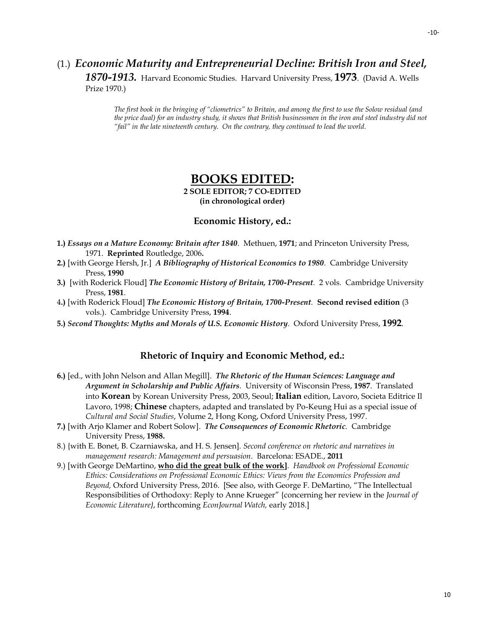# (1.) *Economic Maturity and Entrepreneurial Decline: British Iron and Steel,*

*1870-1913.* Harvard Economic Studies. Harvard University Press, **1973**. (David A. Wells Prize 1970.)

*The first book in the bringing of "cliometrics" to Britain, and among the first to use the Solow residual (and the price dual) for an industry study, it shows that British businessmen in the iron and steel industry did not "fail" in the late nineteenth century. On the contrary, they continued to lead the world.*

# **BOOKS EDITED:**

**2 SOLE EDITOR; 7 CO-EDITED (in chronological order)**

#### **Economic History, ed.:**

- **1.)** *Essays on a Mature Economy: Britain after 1840.* Methuen, **1971**; and Princeton University Press, 1971. **Reprinted** Routledge, 2006**.**
- **2.)** [with George Hersh, Jr.] *A Bibliography of Historical Economics to 1980.* Cambridge University Press, **1990**
- **3.)** [with Roderick Floud] *The Economic History of Britain, 1700-Present.* 2 vols. Cambridge University Press, **1981**.
- 4**.)** [with Roderick Floud] *The Economic History of Britain, 1700-Present.* **Second revised edition** (3 vols.). Cambridge University Press, **1994**.
- **5.)** *Second Thoughts: Myths and Morals of U.S. Economic History.* Oxford University Press, **1992**.

#### **Rhetoric of Inquiry and Economic Method, ed.:**

- **6.)** [ed., with John Nelson and Allan Megill]. *The Rhetoric of the Human Sciences: Language and Argument in Scholarship and Public Affairs.* University of Wisconsin Press, **1987**. Translated into **Korean** by Korean University Press, 2003, Seoul; **Italian** edition, Lavoro, Societa Editrice Il Lavoro, 1998; **Chinese** chapters, adapted and translated by Po-Keung Hui as a special issue of *Cultural and Social Studies*, Volume 2, Hong Kong, Oxford University Press, 1997.
- **7.)** [with Arjo Klamer and Robert Solow]. *The Consequences of Economic Rhetoric.* Cambridge University Press, **1988.**
- 8.) {with E. Bonet, B. Czarniawska, and H. S. Jensen]. *[Second conference on rhetoric and narratives in](http://proxymy.esade.edu/gd/facultybio/publicos/13051944676622nd_RNMR_Conference_Management_and_persuasion.pdf)  [management research: Management and persuasion](http://proxymy.esade.edu/gd/facultybio/publicos/13051944676622nd_RNMR_Conference_Management_and_persuasion.pdf)*. Barcelona: ESADE., **2011**
- 9.) [with George DeMartino, **who did the great bulk of the work]**. *Handbook on Professional Economic Ethics: Considerations on Professional Economic Ethics: Views from the Economics Profession and Beyond,* Oxford University Press, 2016. [See also, with George F. DeMartino, "The Intellectual Responsibilities of Orthodoxy: Reply to Anne Krueger" {concerning her review in the *Journal of Economic Literature}*, forthcoming *EconJournal Watch,* early 2018.]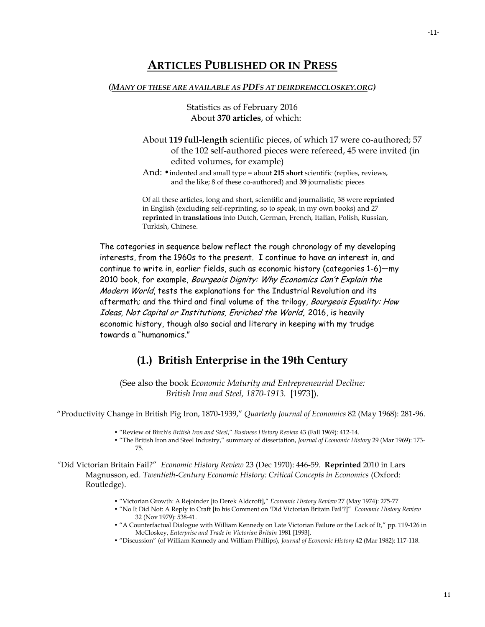### **ARTICLES PUBLISHED OR IN PRESS**

#### *(MANY OF THESE ARE AVAILABLE AS PDFS AT DEIRDREMCCLOSKEY.ORG)*

Statistics as of February 2016 About **370 articles**, of which:

- About **119 full-length** scientific pieces, of which 17 were co-authored; 57 of the 102 self-authored pieces were refereed, 45 were invited (in edited volumes, for example)
- And:  $\bullet$  indented and small type = about 215 short scientific (replies, reviews, and the like; 8 of these co-authored) and **39** journalistic pieces

Of all these articles, long and short, scientific and journalistic, 38 were **reprinted** in English (excluding self-reprinting, so to speak, in my own books) and 27 **reprinted** in **translations** into Dutch, German, French, Italian, Polish, Russian, Turkish, Chinese.

The categories in sequence below reflect the rough chronology of my developing interests, from the 1960s to the present. I continue to have an interest in, and continue to write in, earlier fields, such as economic history (categories 1-6)—my 2010 book, for example, Bourgeois Dignity: Why Economics Can't Explain the Modern World, tests the explanations for the Industrial Revolution and its aftermath; and the third and final volume of the trilogy, *Bourgeois Equality: How* Ideas, Not Capital or Institutions, Enriched the World**,** 2016, is heavily economic history, though also social and literary in keeping with my trudge towards a "humanomics."

### **(1.) British Enterprise in the 19th Century**

(See also the book *Economic Maturity and Entrepreneurial Decline: British Iron and Steel, 1870-1913.* [1973]).

"Productivity Change in British Pig Iron, 1870-1939," *Quarterly Journal of Economics* 82 (May 1968): 281-96.

- "Review of Birch's *British Iron and Steel*," *Business History Review* 43 (Fall 1969): 412-14.
- "The British Iron and Steel Industry," summary of dissertation, *Journal of Economic History* 29 (Mar 1969): 173- 75.

*"*Did Victorian Britain Fail?" *Economic History Review* 23 (Dec 1970): 446-59. **Reprinted** 2010 in Lars Magnusson, ed*. Twentieth-Century Economic History: Critical Concepts in Economics* (Oxford: Routledge).

- "Victorian Growth: A Rejoinder [to Derek Aldcroft]," *Economic History Review* 27 (May 1974): 275-77
- "No It Did Not: A Reply to Craft [to his Comment on 'Did Victorian Britain Fail'?]" *Economic History Review* 32 (Nov 1979): 538-41.
- "A Counterfactual Dialogue with William Kennedy on Late Victorian Failure or the Lack of It," pp. 119-126 in McCloskey, *Enterprise and Trade in Victorian Britain* 1981 [1993].
- "Discussion" (of William Kennedy and William Phillips), *Journal of Economic History* 42 (Mar 1982): 117-118.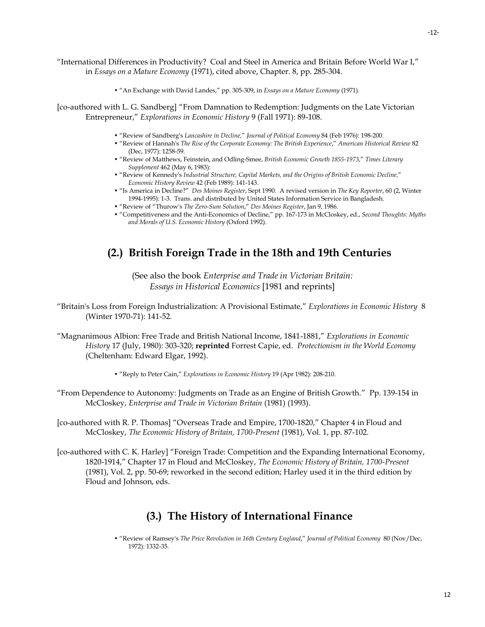"International Differences in Productivity? Coal and Steel in America and Britain Before World War I," in *Essays on a Mature Economy* (1971), cited above, Chapter. 8, pp. 285-304.

• "An Exchange with David Landes," pp. 305-309, in *Essays on a Mature Economy* (1971).

[co-authored with L. G. Sandberg] "From Damnation to Redemption: Judgments on the Late Victorian Entrepreneur," *Explorations in Economic History* 9 (Fall 1971): 89-108.

- "Review of Sandberg's *Lancashire in Decline,*" *Journal of Political Economy* 84 (Feb 1976): 198-200.
- "Review of Hannah's *The Rise of the Corporate Economy: The British Experience*," *American Historical Review* 82 (Dec, 1977): 1258-59.
- "Review of Matthews, Feinstein, and Odling-Smee, *British Economic Growth 1855-1973*," *Times Literary Supplement* 462 (May 6, 1983):
- "Review of Kennedy's *Industrial Structure, Capital Markets, and the Origins of British Economic Decline,*" *Economic History Review* 42 (Feb 1989): 141-143.
- "Is America in Decline?" *Des Moines Register*, Sept 1990. A revised version in *The Key Reporter*, 60 (2, Winter 1994-1995): 1-3. Trans. and distributed by United States Information Service in Bangladesh.
- "Review of "Thurow's *The Zero-Sum Solution*," *Des Moines Register*, Jan 9, 1986.
- "Competitiveness and the Anti-Economics of Decline," pp. 167-173 in McCloskey, ed., *Second Thoughts: Myths and Morals of U.S. Economic History* (Oxford 1992).

### **(2.) British Foreign Trade in the 18th and 19th Centuries**

(See also the book *Enterprise and Trade in Victorian Britain: Essays in Historical Economics* [1981 and reprints]

"Britain's Loss from Foreign Industrialization: A Provisional Estimate," *Explorations in Economic History* 8 (Winter 1970-71): 141-52.

"Magnanimous Albion: Free Trade and British National Income, 1841-1881," *Explorations in Economic History* 17 (July, 1980): 303-320; **reprinted** Forrest Capie, ed. *Protectionism in the World Economy* (Cheltenham: Edward Elgar, 1992).

• "Reply to Peter Cain," *Explorations in Economic History* 19 (Apr 1982): 208-210.

"From Dependence to Autonomy: Judgments on Trade as an Engine of British Growth." Pp. 139-154 in McCloskey, *Enterprise and Trade in Victorian Britain* (1981) (1993).

[co-authored with R. P. Thomas] "Overseas Trade and Empire, 1700-1820," Chapter 4 in Floud and McCloskey, *The Economic History of Britain, 1700-Present* (1981), Vol. 1, pp. 87-102.

[co-authored with C. K. Harley] "Foreign Trade: Competition and the Expanding International Economy, 1820-1914," Chapter 17 in Floud and McCloskey, *The Economic History of Britain, 1700-Present* (1981), Vol. 2, pp. 50-69; reworked in the second edition; Harley used it in the third edition by Floud and Johnson, eds.

# **(3.) The History of International Finance**

• "Review of Ramsey's *The Price Revolution in 16th Century England*," *Journal of Political Economy* 80 (Nov/Dec, 1972): 1332-35.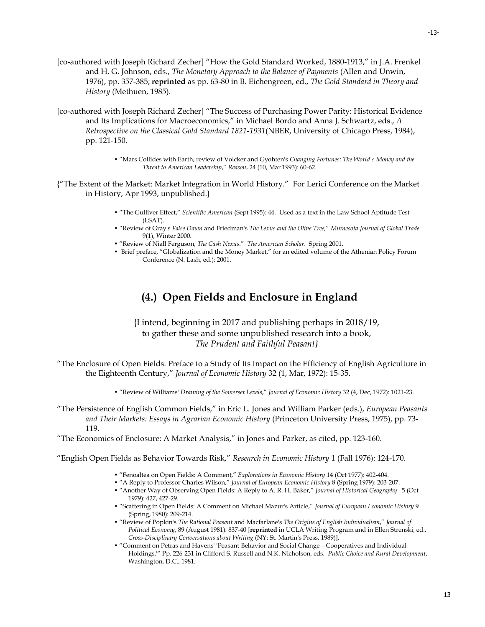- [co-authored with Joseph Richard Zecher] "How the Gold Standard Worked, 1880-1913," in J.A. Frenkel and H. G. Johnson, eds., *The Monetary Approach to the Balance of Payments* (Allen and Unwin, 1976), pp. 357-385; **reprinted** as pp. 63-80 in B. Eichengreen, ed., *The Gold Standard in Theory and History* (Methuen, 1985).
- [co-authored with Joseph Richard Zecher] "The Success of Purchasing Power Parity: Historical Evidence and Its Implications for Macroeconomics," in Michael Bordo and Anna J. Schwartz, eds., *A Retrospective on the Classical Gold Standard 1821-1931*(NBER, University of Chicago Press, 1984), pp. 121-150.
	- "Mars Collides with Earth, review of Volcker and Gyohten's *Changing Fortunes: The World's Money and the Threat to American Leadership*," *Reason*, 24 (10, Mar 1993): 60-62.
- {"The Extent of the Market: Market Integration in World History." For Lerici Conference on the Market in History, Apr 1993, unpublished.}
	- "The Gulliver Effect," *Scientific American* (Sept 1995): 44. Used as a text in the Law School Aptitude Test (LSAT).
	- "Review of Gray's *False Dawn* and Friedman's *The Lexus and the Olive Tree,*" *Minnesota Journal of Global Trade* 9(1), Winter 2000.
	- "Review of Niall Ferguson, *The Cash Nexus*." *The American Scholar*. Spring 2001.
	- **•** Brief preface, "Globalization and the Money Market," for an edited volume of the Athenian Policy Forum Conference (N. Lash, ed.); 2001.

# **(4.) Open Fields and Enclosure in England**

{I intend, beginning in 2017 and publishing perhaps in 2018/19, to gather these and some unpublished research into a book, *The Prudent and Faithful Peasant}*

- "The Enclosure of Open Fields: Preface to a Study of Its Impact on the Efficiency of English Agriculture in the Eighteenth Century," *Journal of Economic History* 32 (1, Mar, 1972): 15-35.
	- "Review of Williams' *Draining of the Somerset Levels*," *Journal of Economic History* 32 (4, Dec, 1972): 1021-23.
- "The Persistence of English Common Fields," in Eric L. Jones and William Parker (eds.), *European Peasants and Their Markets: Essays in Agrarian Economic History* (Princeton University Press, 1975), pp. 73- 119.
- "The Economics of Enclosure: A Market Analysis," in Jones and Parker, as cited, pp. 123-160.

"English Open Fields as Behavior Towards Risk," *Research in Economic History* 1 (Fall 1976): 124-170.

- "Fenoaltea on Open Fields: A Comment," *Explorations in Economic History* 14 (Oct 1977): 402-404.
- "A Reply to Professor Charles Wilson," *Journal of European Economic History* 8 (Spring 1979): 203-207.
- "Another Way of Observing Open Fields: A Reply to A. R. H. Baker," *Journal of Historical Geography* 5 (Oct 1979): 427, 427-29.
- "Scattering in Open Fields: A Comment on Michael Mazur's Article," *Journal of European Economic History* 9 (Spring, 1980): 209-214.
- "Review of Popkin's *The Rational Peasant* and Macfarlane's *The Origins of English Individualism*," *Journal of Political Economy*, 89 (August 1981): 837-40 [**reprinted** in UCLA Writing Program and in Ellen Strenski, ed., *Cross-Disciplinary Conversations about Writing* (NY: St. Martin's Press, 1989)].
- "Comment on Petras and Havens' 'Peasant Behavior and Social Change—Cooperatives and Individual Holdings.'" Pp. 226-231 in Clifford S. Russell and N.K. Nicholson, eds. *Public Choice and Rural Development*, Washington, D.C., 1981.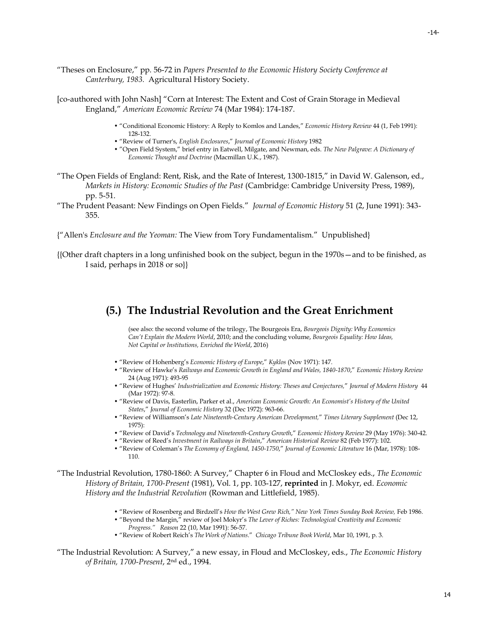- "Theses on Enclosure," pp. 56-72 in *Papers Presented to the Economic History Society Conference at Canterbury, 1983.* Agricultural History Society.
- [co-authored with John Nash] "Corn at Interest: The Extent and Cost of Grain Storage in Medieval England," *American Economic Review* 74 (Mar 1984): 174-187.
	- "Conditional Economic History: A Reply to Komlos and Landes," *Economic History Review* 44 (1, Feb 1991): 128-132.
	- "Review of Turner's, *English Enclosures*," *Journal of Economic History* 1982
	- "Open Field System," brief entry in Eatwell, Milgate, and Newman, eds. *The New Palgrave: A Dictionary of Economic Thought and Doctrine* (Macmillan U.K., 1987).
- "The Open Fields of England: Rent, Risk, and the Rate of Interest, 1300-1815," in David W. Galenson, ed., *Markets in History: Economic Studies of the Past* (Cambridge: Cambridge University Press, 1989), pp. 5-51.
- "The Prudent Peasant: New Findings on Open Fields." *Journal of Economic History* 51 (2, June 1991): 343- 355.
- {"Allen's *Enclosure and the Yeoman:* The View from Tory Fundamentalism." Unpublished}
- {{Other draft chapters in a long unfinished book on the subject, begun in the 1970s—and to be finished, as I said, perhaps in 2018 or so}}

### **(5.) The Industrial Revolution and the Great Enrichment**

(see also: the second volume of the trilogy, The Bourgeois Era, *Bourgeois Dignity: Why Economics Can't Explain the Modern World*, 2010; and the concluding volume, *Bourgeois Equality: How Ideas, Not Capital or Institutions, Enriched the World*, 2016)

- "Review of Hohenberg's *Economic History of Europe*," *Kyklos* (Nov 1971): 147.
- "Review of Hawke's *Railways and Economic Growth in England and Wales, 1840-1870*," *Economic History Review* 24 (Aug 1971): 493-95
- "Review of Hughes' *Industrialization and Economic History: Theses and Conjectures,*" *Journal of Modern History* 44 (Mar 1972): 97-8.
- "Review of Davis, Easterlin, Parker et al., *American Economic Growth: An Economist's History of the United States*," *Journal of Economic History* 32 (Dec 1972): 963-66.
- "Review of Williamson's *Late Nineteenth-Century American Development,*" *Times Literary Supplement* (Dec 12, 1975):
- "Review of David's *Technology and Nineteenth-Century Growth*," *Economic History Review* 29 (May 1976): 340-42.
- "Review of Reed's *Investment in Railways in Britain*," *American Historical Review* 82 (Feb 1977): 102.
- "Review of Coleman's *The Economy of England, 1450-1750*," *Journal of Economic Literature* 16 (Mar, 1978): 108- 110.

"The Industrial Revolution, 1780-1860: A Survey," Chapter 6 in Floud and McCloskey eds., *The Economic History of Britain, 1700-Present* (1981), Vol. 1, pp. 103-127, **reprinted** in J. Mokyr, ed. *Economic History and the Industrial Revolution* (Rowman and Littlefield, 1985).

- "Review of Rosenberg and Birdzell's *How the West Grew Rich," New York Times Sunday Book Review,* Feb 1986.
- "Beyond the Margin," review of Joel Mokyr's *The Lever of Riches: Technological Creativity and Economic Progress." Reason* 22 (10, Mar 1991): 56-57.
- "Review of Robert Reich's *The Work of Nations*." *Chicago Tribune Book World*, Mar 10, 1991, p. 3.

"The Industrial Revolution: A Survey," a new essay, in Floud and McCloskey, eds., *The Economic History of Britain, 1700-Present*, 2nd ed., 1994.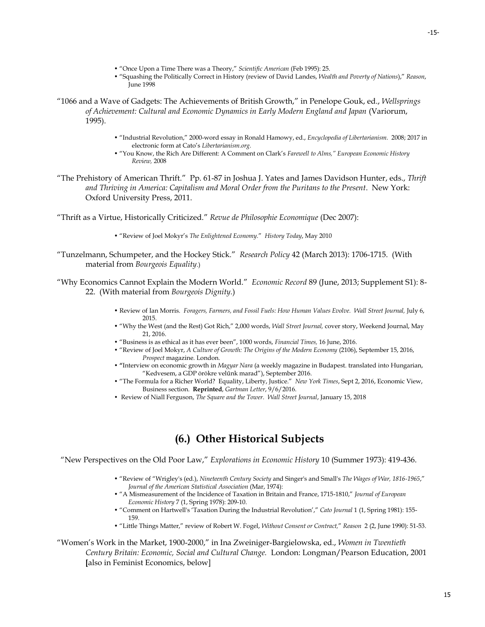- "Once Upon a Time There was a Theory," *Scientific American* (Feb 1995): 25.
- "Squashing the Politically Correct in History (review of David Landes, *Wealth and Poverty of Nations*)," *Reason*, June 1998
- "1066 and a Wave of Gadgets: The Achievements of British Growth," in Penelope Gouk, ed., *Wellsprings of Achievement: Cultural and Economic Dynamics in Early Modern England and Japan* (Variorum, 1995).
	- "Industrial Revolution," 2000-word essay in Ronald Hamowy, ed., *Encyclopedia of Libertarianism.* 2008; 2017 in electronic form at Cato's *Libertarianism.org.*
	- "You Know, the Rich Are Different: A Comment on Clark's *Farewell to Alms," European Economic History Review,* 2008
- "The Prehistory of American Thrift." Pp. 61-87 in Joshua J. Yates and James Davidson Hunter, eds., *Thrift and Thriving in America: Capitalism and Moral Order from the Puritans to the Present*. New York: Oxford University Press, 2011.

"Thrift as a Virtue, Historically Criticized." *Revue de Philosophie Economique* (Dec 2007):

- "Review of Joel Mokyr's *The Enlightened Economy*." *History Today*, May 2010
- "Tunzelmann, Schumpeter, and the Hockey Stick." *Research Policy* 42 (March 2013): 1706-1715. (With material from *Bourgeois Equality*.)
- "Why Economics Cannot Explain the Modern World." *Economic Record* 89 (June, 2013; Supplement S1): 8- 22. (With material from *Bourgeois Dignity.*)
	- Review of Ian Morris. *Foragers, Farmers, and Fossil Fuels: How Human Values Evolve. Wall Street Journal,* July 6, 2015.
	- "Why the West (and the Rest) Got Rich," 2,000 words, *Wall Street Journal,* cover story, Weekend Journal, May 21, 2016.
	- "Business is as ethical as it has ever been", 1000 words, *Financial Times,* 16 June, 2016.
	- "Review of Joel Mokyr, *A Culture of Growth: The Origins of the Modern Economy* (2106), September 15, 2016, *Prospect* magazine. London.
	- **"**Interview on economic growth in *Magyar Nara* (a weekly magazine in Budapest. translated into Hungarian, "Kedvesem, a GDP ōrōkre velűnk marad"), September 2016.
	- "The Formula for a Richer World? Equality, Liberty, Justice." *New York Times*, Sept 2, 2016, Economic View, Business section. **Reprinted**, *Gartman Letter*, 9/6/2016.
	- Review of Niall Ferguson, *The Square and the Tower*. *Wall Street Journal*, January 15, 2018

# **(6.) Other Historical Subjects**

"New Perspectives on the Old Poor Law," *Explorations in Economic History* 10 (Summer 1973): 419-436.

- "Review of "Wrigley's (ed.), *Nineteenth Century Society* and Singer's and Small's *The Wages of War, 1816-1965*," *Journal of the American Statistical Association* (Mar, 1974):
- "A Mismeasurement of the Incidence of Taxation in Britain and France, 1715-1810," *Journal of European Economic History* 7 (1, Spring 1978): 209-10.
- "Comment on Hartwell's 'Taxation During the Industrial Revolution'," *Cato Journal* 1 (1, Spring 1981): 155- 159.
- "Little Things Matter," review of Robert W. Fogel, *Without Consent or Contract,*" *Reason* 2 (2, June 1990): 51-53.

"Women's Work in the Market, 1900-2000," in Ina Zweiniger-Bargielowska, ed., *Women in Twentieth Century Britain: Economic, Social and Cultural Change.* London: Longman/Pearson Education, 2001 **[**also in Feminist Economics, below]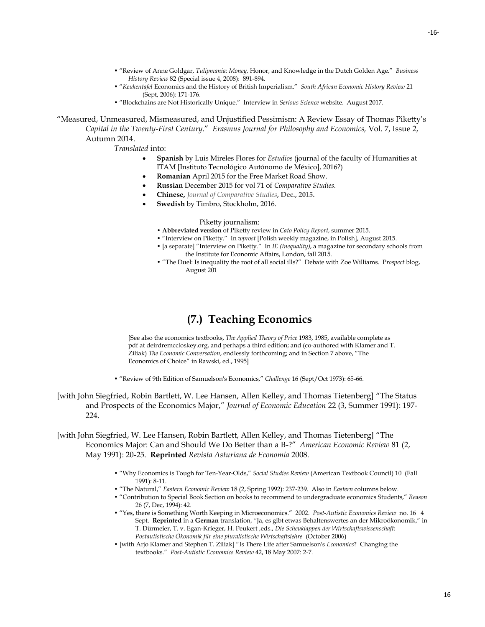- "Review of Anne Goldgar, *Tulipmania: Money,* Honor, and Knowledge in the Dutch Golden Age." *Business History Review* 82 (Special issue 4, 2008): 891-894.
- "*Keukentafel* Economics and the History of British Imperialism." *South African Economic History Review* 21 (Sept, 2006): 171-176.
- "Blockchains are Not Historically Unique." Interview in *Serious Science* website. August 2017.

"Measured, Unmeasured, Mismeasured, and Unjustified Pessimism: A Review Essay of Thomas Piketty's *Capital in the Twenty-First Century*." *Erasmus Journal for Philosophy and Economics,* Vol. 7, Issue 2, Autumn 2014.

*Translated* into:

- **Spanish** by Luis Mireles Flores for *Estudios* (journal of the faculty of Humanities at ITAM [Instituto Tecnológico Autónomo de México], 2016?)
- **Romanian** April 2015 for the Free Market Road Show.
- **Russian** December 2015 for vol 71 of *Comparative Studies.*
- **Chinese,** *Journal of Comparative Studies***, Dec., 2015.**
- **Swedish** by Timbro, Stockholm, 2016.

#### Piketty journalism:

- **Abbreviated version** of Piketty review in *Cato Policy Report*, summer 2015.
- "Interview on Piketty." In *wprost* [Polish weekly magazine, in Polish], August 2015.
- [a separate] "Interview on Piketty." In *IE (Inequality)*, a magazine for secondary schools from the Institute for Economic Affairs, London, fall 2015.
- "The Duel: Is inequality the root of all social ills?" Debate with Zoe Williams. P*rospect* blog, August 201

# **(7.) Teaching Economics**

[See also the economics textbooks, *The Applied Theory of Price* 1983, 1985, available complete as pdf at deirdremccloskey.org, and perhaps a third edition; and (co-authored with Klamer and T. Ziliak) *The Economic Conversation*, endlessly forthcoming; and in Section 7 above, "The Economics of Choice" in Rawski, ed., 1995]

- "Review of 9th Edition of Samuelson's Economics," *Challenge* 16 (Sept/Oct 1973): 65-66.
- [with John Siegfried, Robin Bartlett, W. Lee Hansen, Allen Kelley, and Thomas Tietenberg] "The Status and Prospects of the Economics Major," *Journal of Economic Education* 22 (3, Summer 1991): 197- 224.

[with John Siegfried, W. Lee Hansen, Robin Bartlett, Allen Kelley, and Thomas Tietenberg] "The Economics Major: Can and Should We Do Better than a B-?" *American Economic Review* 81 (2, May 1991): 20-25. **Reprinted** *Revista Asturiana de Economia* 2008.

- "Why Economics is Tough for Ten-Year-Olds," *Social Studies Review* (American Textbook Council) 10 (Fall 1991): 8-11.
- "The Natural," *Eastern Economic Review* 18 (2, Spring 1992): 237-239. Also in *Eastern* columns below.
- "Contribution to Special Book Section on books to recommend to undergraduate economics Students," *Reason* 26 (7, Dec, 1994): 42.
- "Yes, there is Something Worth Keeping in Microeconomics." 2002. *Post-Autistic Economics Review* no. 16 4 Sept. **Reprinted** in a **German** translation, *"*Ja, es gibt etwas Behaltenswertes an der Mikroökonomik," in T. Dürmeier, T. v. Egan-Krieger, H. Peukert ,eds., *Die Scheuklappen der Wirtschaftswissenschaft*: *Postautistische Ökonomik für eine pluralistische Wirtschaftslehre* (October 2006)
- [with Arjo Klamer and Stephen T. Ziliak] "Is There Life after Samuelson's *Economics*? Changing the textbooks." *Post-Autistic Economics Review* 42, 18 May 2007: 2-7.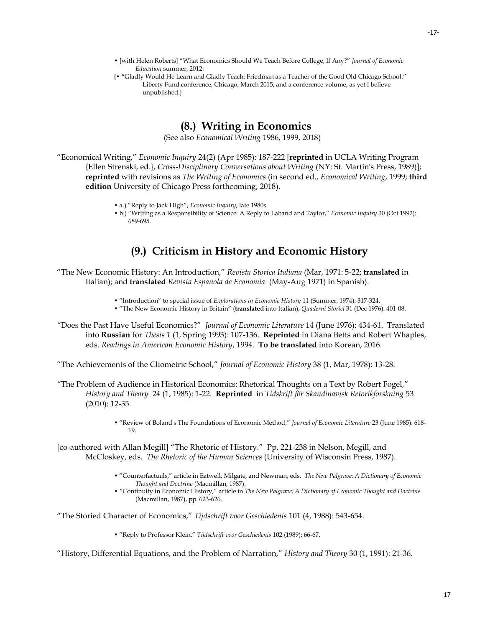- [with Helen Roberts] "What Economics Should We Teach Before College, If Any?" *Journal of Economic Education* summer, 2012.
- **{ "**Gladly Would He Learn and Gladly Teach: Friedman as a Teacher of the Good Old Chicago School." Liberty Fund conference, Chicago, March 2015, and a conference volume, as yet I believe unpublished.}

# **(8.) Writing in Economics**

(See also *Economical Writing* 1986, 1999, 2018)

"Economical Writing," *Economic Inquiry* 24(2) (Apr 1985): 187-222 [**reprinted** in UCLA Writing Program {Ellen Strenski, ed.}, *Cross-Disciplinary Conversations about Writing* (NY: St. Martin's Press, 1989)]; **reprinted** with revisions as *The Writing of Economics* (in second ed., *Economical Writing*, 1999; **third edition** University of Chicago Press forthcoming, 2018).

- a.) "Reply to Jack High", *Economic Inquiry*, late 1980s
- b.) "Writing as a Responsibility of Science: A Reply to Laband and Taylor," *Economic Inquiry* 30 (Oct 1992): 689-695.

# **(9.) Criticism in History and Economic History**

- "The New Economic History: An Introduction," *Revista Storica Italiana* (Mar, 1971: 5-22; **translated** in Italian); and **translated** *Revista Espanola de Economia* (May-Aug 1971) in Spanish).
	- "Introduction" to special issue of *Explorations in Economic History* 11 (Summer, 1974): 317-324.
	- "The New Economic History in Britain" (**translated** into Italian), *Quaderni Storici* 31 (Dec 1976): 401-08.
- *"*Does the Past Have Useful Economics?" *Journal of Economic Literature* 14 (June 1976): 434-61. Translated into **Russian** for *Thesis 1* (1, Spring 1993): 107-136. **Reprinted** in Diana Betts and Robert Whaples, eds. *Readings in American Economic History*, 1994. **To be translated** into Korean, 2016.

"The Achievements of the Cliometric School," *Journal of Economic History* 38 (1, Mar, 1978): 13-28.

- *"*The Problem of Audience in Historical Economics: Rhetorical Thoughts on a Text by Robert Fogel," *History and Theory* 24 (1, 1985): 1-22. **Reprinted** in *Tidskrift för Skandinavisk Retorikforskning* 53 (2010): 12-35.
	- "Review of Boland's The Foundations of Economic Method," *Journal of Economic Literature* 23 (June 1985): 618- 19.

[co-authored with Allan Megill] "The Rhetoric of History." Pp. 221-238 in Nelson, Megill, and McCloskey, eds. *The Rhetoric of the Human Sciences* (University of Wisconsin Press, 1987).

- "Counterfactuals," article in Eatwell, Milgate, and Newman, eds. *The New Palgrave: A Dictionary of Economic Thought and Doctrine* (Macmillan, 1987).
- *"*Continuity in Economic History," article in *The New Palgrave: A Dictionary of Economic Thought and Doctrine* (Macmillan, 1987), pp. 623-626.

"The Storied Character of Economics," *Tijdschrift voor Geschiedenis* 101 (4, 1988): 543-654.

• "Reply to Professor Klein." *Tijdschrift voor Geschiedenis* 102 (1989): 66-67.

"History, Differential Equations, and the Problem of Narration," *History and Theory* 30 (1, 1991): 21-36.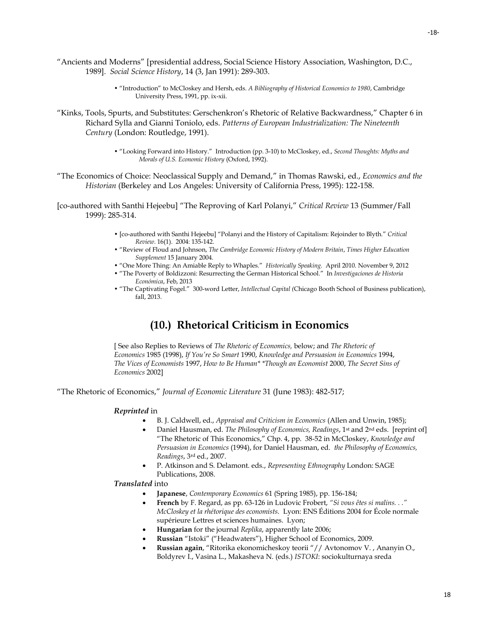- "Ancients and Moderns" [presidential address, Social Science History Association, Washington, D.C., 1989]. *Social Science History*, 14 (3, Jan 1991): 289-303.
	- "Introduction" to McCloskey and Hersh, eds. *A Bibliography of Historical Economics to 1980*, Cambridge University Press, 1991, pp. ix-xii.
- "Kinks, Tools, Spurts, and Substitutes: Gerschenkron's Rhetoric of Relative Backwardness," Chapter 6 in Richard Sylla and Gianni Toniolo, eds. *Patterns of European Industrialization: The Nineteenth Century* (London: Routledge, 1991).
	- "Looking Forward into History." Introduction (pp. 3-10) to McCloskey, ed., *Second Thoughts: Myths and Morals of U.S. Economic History* (Oxford, 1992).
- "The Economics of Choice: Neoclassical Supply and Demand," in Thomas Rawski, ed., *Economics and the Historian* (Berkeley and Los Angeles: University of California Press, 1995): 122-158.

[co-authored with Santhi Hejeebu] "The Reproving of Karl Polanyi," *Critical Review* 13 (Summer/Fall 1999): 285-314.

- [co-authored with Santhi Hejeebu] "Polanyi and the History of Capitalism: Rejoinder to Blyth." *Critical Review*. 16(1). 2004: 135-142.
- "Review of Floud and Johnson, *The Cambridge Economic History of Modern Britain*, *Times Higher Education Supplement* 15 January 2004.
- "One More Thing: An Amiable Reply to Whaples." *Historically Speaking.* April 2010. November 9, 2012
- "The Poverty of Boldizzoni: Resurrecting the German Historical School." In *[Investigaciones de Historia](http://www.elsevierciencia.com/es/revista/investigaciones-historia-economica-328)  [Económica](http://www.elsevierciencia.com/es/revista/investigaciones-historia-economica-328)*, Feb, 2013
- "The Captivating Fogel." 300-word Letter, *Intellectual Capital (*Chicago Booth School of Business publication), fall, 2013.

# **(10.) Rhetorical Criticism in Economics**

[ See also Replies to Reviews of *The Rhetoric of Economics,* below; and *The Rhetoric of Economics* 1985 (1998), *If You're So Smart* 1990, *Knowledge and Persuasion in Economics* 1994, *The Vices of Economists* 1997, *How to Be Human\* \*Though an Economist* 2000, *The Secret Sins of Economics* 2002]

"The Rhetoric of Economics," *Journal of Economic Literature* 31 (June 1983): 482-517;

#### *Reprinted* in

- B. J. Caldwell, ed., *Appraisal and Criticism in Economics* (Allen and Unwin, 1985);
- Daniel Hausman, ed. *The Philosophy of Economics, Readings*, 1st and 2nd eds. [reprint of] "The Rhetoric of This Economics," Chp. 4, pp. 38-52 in McCloskey, *Knowledge and Persuasion in Economics* (1994), for Daniel Hausman, ed. *the Philosophy of Economics, Readings*, 3rd ed., 2007.
- P. Atkinson and S. Delamont. eds., *Representing Ethnography* London: SAGE Publications, 2008.

#### *Translated* into

- **Japanese**, *Contemporary Economics* 61 (Spring 1985), pp. 156-184;
- **French** by F. Regard, as pp. 63-126 in Ludovic Frobert, *"Si vous êtes si malins. . ." McCloskey et la rhétorique des economists*. Lyon: ENS Éditions 2004 for École normale supérieure Lettres et sciences humaines. Lyon;
- **Hungarian** for the journal *Replika*, apparently late 2006;
- **Russian** "Istoki" ("Headwaters"), Higher School of Economics, 2009.
- **Russian again**, "Ritorika ekonomicheskoy teorii "// Avtonomov V. , Ananyin O., Boldyrev I., Vasina L., Makasheva N. (eds.) *ISTOKI*: sociokulturnaya sreda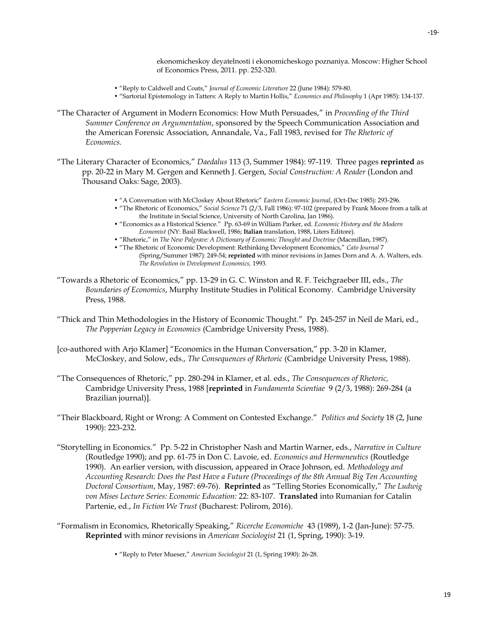ekonomicheskoy deyatelnosti i ekonomicheskogo poznaniya. Moscow: Higher School of Economics Press, 2011. pp. 252-320.

- "Reply to Caldwell and Coats," *Journal of Economic Literature* 22 (June 1984): 579-80.
- "Sartorial Epistemology in Tatters: A Reply to Martin Hollis," *Economics and Philosophy* 1 (Apr 1985): 134-137.
- "The Character of Argument in Modern Economics: How Muth Persuades," in *Proceeding of the Third Summer Conference on Argumentation*, sponsored by the Speech Communication Association and the American Forensic Association, Annandale, Va., Fall 1983, revised for *The Rhetoric of Economics.*
- "The Literary Character of Economics," *Daedalus* 113 (3, Summer 1984): 97-119. Three pages **reprinted** as pp. 20-22 in Mary M. Gergen and Kenneth J. Gergen, *Social Construction: A Reader* (London and Thousand Oaks: Sage, 2003).
	- "A Conversation with McCloskey About Rhetoric" *Eastern Economic Journal*, (Oct-Dec 1985): 293-296.
	- "The Rhetoric of Economics," *Social Science* 71 (2/3, Fall 1986): 97-102 (prepared by Frank Moore from a talk at the Institute in Social Science, University of North Carolina, Jan 1986).
	- "Economics as a Historical Science." Pp. 63-69 in William Parker, ed. *Economic History and the Modern Economist* (NY: Basil Blackwell, 1986; **Italian** translation, 1988, Liters Editore).
	- "Rhetoric," in *The New Palgrave: A Dictionary of Economic Thought and Doctrine* (Macmillan, 1987).
	- "The Rhetoric of Economic Development: Rethinking Development Economics," *Cato Journal* 7 (Spring/Summer 1987): 249-54; **reprinted** with minor revisions in James Dorn and A. A. Walters, eds. *The Revolution in Development Economics,* 1993.
- "Towards a Rhetoric of Economics," pp. 13-29 in G. C. Winston and R. F. Teichgraeber III, eds., *The Boundaries of Economics*, Murphy Institute Studies in Political Economy. Cambridge University Press, 1988.
- "Thick and Thin Methodologies in the History of Economic Thought." Pp. 245-257 in Neil de Mari, ed., *The Popperian Legacy in Economics* (Cambridge University Press, 1988).
- [co-authored with Arjo Klamer] "Economics in the Human Conversation," pp. 3-20 in Klamer, McCloskey, and Solow, eds., *The Consequences of Rhetoric* (Cambridge University Press, 1988).
- "The Consequences of Rhetoric," pp. 280-294 in Klamer, et al. eds., *The Consequences of Rhetoric,*  Cambridge University Press, 1988 [**reprinted** in *Fundamenta Scientiae* 9 (2/3, 1988): 269-284 (a Brazilian journal)].
- "Their Blackboard, Right or Wrong: A Comment on Contested Exchange." *Politics and Society* 18 (2, June 1990): 223-232.
- "Storytelling in Economics." Pp. 5-22 in Christopher Nash and Martin Warner, eds., *Narrative in Culture* (Routledge 1990); and pp. 61-75 in Don C. Lavoie, ed. *Economics and Hermeneutics* (Routledge 1990). An earlier version, with discussion, appeared in Orace Johnson, ed. *Methodology and Accounting Research: Does the Past Have a Future (Proceedings of the 8th Annual Big Ten Accounting Doctoral Consortium*, May, 1987: 69-76). **Reprinted** as "Telling Stories Economically," *The Ludwig von Mises Lecture Series: Economic Education:* 22: 83-107. **Translated** into Rumanian for Catalin Partenie, ed., *In Fiction We Trust* (Bucharest: Polirom, 2016).
- "Formalism in Economics, Rhetorically Speaking," *Ricerche Economiche* 43 (1989), 1-2 (Jan-June): 57-75. **Reprinted** with minor revisions in *American Sociologist* 21 (1, Spring, 1990): 3-19.
	- "Reply to Peter Mueser," *American Sociologist* 21 (1, Spring 1990): 26-28.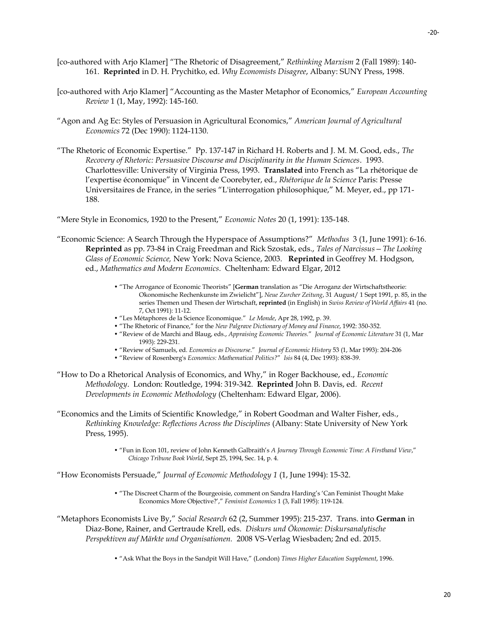- [co-authored with Arjo Klamer] "The Rhetoric of Disagreement," *Rethinking Marxism* 2 (Fall 1989): 140- 161. **Reprinted** in D. H. Prychitko, ed. *Why Economists Disagree*, Albany: SUNY Press, 1998.
- [co-authored with Arjo Klamer] "Accounting as the Master Metaphor of Economics," *European Accounting Review* 1 (1, May, 1992): 145-160.
- "Agon and Ag Ec: Styles of Persuasion in Agricultural Economics," *American Journal of Agricultural Economics* 72 (Dec 1990): 1124-1130.
- "The Rhetoric of Economic Expertise." Pp. 137-147 in Richard H. Roberts and J. M. M. Good, eds., *The Recovery of Rhetoric: Persuasive Discourse and Disciplinarity in the Human Sciences*. 1993. Charlottesville: University of Virginia Press, 1993. **Translated** into French as "La rhétorique de l'expertise économique" in Vincent de Coorebyter, ed., *Rhétorique de la Science* Paris: Presse Universitaires de France, in the series "L'interrogation philosophique," M. Meyer, ed., pp 171- 188.

"Mere Style in Economics, 1920 to the Present," *Economic Notes* 20 (1, 1991): 135-148.

- "Economic Science: A Search Through the Hyperspace of Assumptions?" *Methodus* 3 (1, June 1991): 6-16. **Reprinted** as pp. 73-84 in Craig Freedman and Rick Szostak, eds., *Tales of Narcissus—The Looking Glass of Economic Science,* New York: Nova Science, 2003. **Reprinted** in Geoffrey M. Hodgson, ed., *Mathematics and Modern Economics*. Cheltenham: Edward Elgar, 2012
	- "The Arrogance of Economic Theorists" [**German** translation as "Die Arroganz der Wirtschaftstheorie: Okonomische Rechenkunste im Zwielicht"], *Neue Zurcher Zeitung*, 31 August/ 1 Sept 1991, p. 85, in the series Themen und Thesen der Wirtschaft, **reprinted** (in English) in *Swiss Review of World Affairs* 41 (no. 7, Oct 1991): 11-12.
	- "Les Métaphores de la Science Economique." *Le Monde*, Apr 28, 1992, p. 39.
	- "The Rhetoric of Finance," for the *New Palgrave Dictionary of Money and Finance*, 1992: 350-352.
	- "Review of de Marchi and Blaug, eds., *Appraising Economic Theories.*" *Journal of Economic Literature* 31 (1, Mar 1993): 229-231.
	- "Review of Samuels, ed. *Economics as Discourse*." *Journal of Economic History* 53 (1, Mar 1993): 204-206
	- "Review of Rosenberg's *Economics: Mathematical Politics?*" *Isis* 84 (4, Dec 1993): 838-39.
- "How to Do a Rhetorical Analysis of Economics, and Why," in Roger Backhouse, ed., *Economic Methodology*. London: Routledge, 1994: 319-342. **Reprinted** John B. Davis, ed. *Recent Developments in Economic Methodology* (Cheltenham: Edward Elgar, 2006).
- "Economics and the Limits of Scientific Knowledge," in Robert Goodman and Walter Fisher, eds., *Rethinking Knowledge: Reflections Across the Disciplines* (Albany: State University of New York Press, 1995).
	- "Fun in Econ 101, review of John Kenneth Galbraith's *A Journey Through Economic Time: A Firsthand View*," *Chicago Tribune Book World*, Sept 25, 1994, Sec. 14, p. 4.

"How Economists Persuade," *Journal of Economic Methodology 1* (1, June 1994): 15-32.

- "The Discreet Charm of the Bourgeoisie, comment on Sandra Harding's 'Can Feminist Thought Make Economics More Objective?'," *Feminist Economics* 1 (3, Fall 1995): 119-124.
- "Metaphors Economists Live By," *Social Research* 62 (2, Summer 1995): 215-237. Trans. into **German** in Diaz-Bone, Rainer, and Gertraude Krell, eds. *Diskurs und Ökonomie: Diskursanalytische Perspektiven auf Märkte und Organisationen.* 2008 VS-Verlag Wiesbaden; 2nd ed. 2015.
	- "Ask What the Boys in the Sandpit Will Have," (London) *Times Higher Education Supplement*, 1996.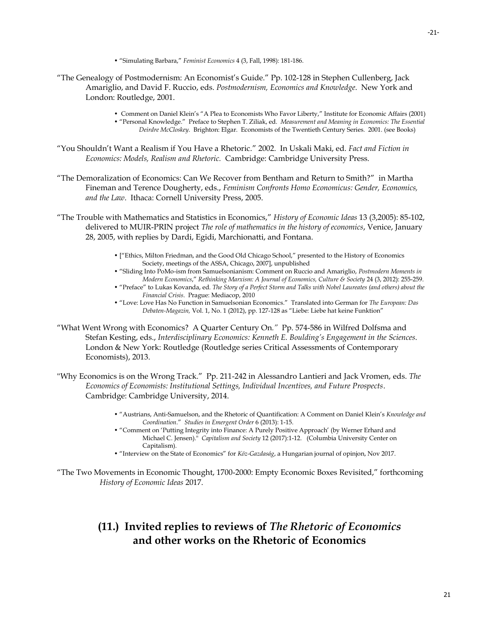• "Simulating Barbara," *Feminist Economics* 4 (3, Fall, 1998): 181-186.

- "The Genealogy of Postmodernism: An Economist's Guide." Pp. 102-128 in Stephen Cullenberg, Jack Amariglio, and David F. Ruccio, eds. *Postmodernism, Economics and Knowledge*. New York and London: Routledge, 2001.
	- Comment on Daniel Klein's "A Plea to Economists Who Favor Liberty," Institute for Economic Affairs (2001)
	- "Personal Knowledge." Preface to Stephen T. Ziliak, ed. *Measurement and Meaning in Economics: The Essential Deirdre McCloskey*. Brighton: Elgar. Economists of the Twentieth Century Series. 2001. (see Books)
- "You Shouldn't Want a Realism if You Have a Rhetoric." 2002. In Uskali Maki, ed. *Fact and Fiction in Economics: Models, Realism and Rhetoric.* Cambridge: Cambridge University Press.
- "The Demoralization of Economics: Can We Recover from Bentham and Return to Smith?" in Martha Fineman and Terence Dougherty, eds., *Feminism Confronts Homo Economicus: Gender, Economics, and the Law*. Ithaca: Cornell University Press, 2005.
- "The Trouble with Mathematics and Statistics in Economics," *History of Economic Ideas* 13 (3,2005): 85-102, delivered to MUIR-PRIN project *The role of mathematics in the history of economics*, Venice, January 28, 2005, with replies by Dardi, Egidi, Marchionatti, and Fontana.
	- ["Ethics, Milton Friedman, and the Good Old Chicago School," presented to the History of Economics Society, meetings of the ASSA, Chicago, 2007], unpublished
	- "Sliding Into PoMo-ism from Samuelsonianism: Comment on Ruccio and Amariglio, *Postmodern Moments in Modern Economics*," *Rethinking Marxism: A Journal of Economics, Culture & Society* 24 (3, 2012): 255-259.
	- "Preface" to Lukas Kovanda, ed. *The Story of a Perfect Storm and Talks with Nobel Laureates (and others) about the Financial Crisis*. Prague: Mediacop, 2010
	- "Love: Love Has No Function in Samuelsonian Economics." Translated into German for *The European: Das Debaten-Magazin,* Vol. 1, No. 1 (2012), pp. 127-128 as "Liebe: Liebe hat keine Funktion"
- "What Went Wrong with Economics? A Quarter Century On*."* Pp. 574-586 in Wilfred Dolfsma and Stefan Kesting, eds., *Interdisciplinary Economics: Kenneth E. Boulding's Engagement in the Sciences*. London & New York: Routledge (Routledge series Critical Assessments of Contemporary Economists), 2013.
- "Why Economics is on the Wrong Track." Pp. 211-242 in Alessandro Lantieri and Jack Vromen, eds. *The Economics of Economists: Institutional Settings, Individual Incentives, and Future Prospects*. Cambridge: Cambridge University, 2014.
	- "Austrians, Anti-Samuelson, and the Rhetoric of Quantification: A Comment on Daniel Klein's *Knowledge and Coordination*." *Studies in Emergent Order* 6 (2013): 1-15.
	- "Comment on 'Putting Integrity into Finance: A Purely Positive Approach' (by Werner Erhard and Michael C. Jensen)." *Capitalism and Society* 12 (2017):1-12. (Columbia University Center on Capitalism).
	- "Interview on the State of Economics" for *Köz-Gazdaság*, a Hungarian journal of opinjon, Nov 2017.
- "The Two Movements in Economic Thought, 1700-2000: Empty Economic Boxes Revisited," forthcoming *History of Economic Ideas* 2017.

# **(11.) Invited replies to reviews of** *The Rhetoric of Economics* **and other works on the Rhetoric of Economics**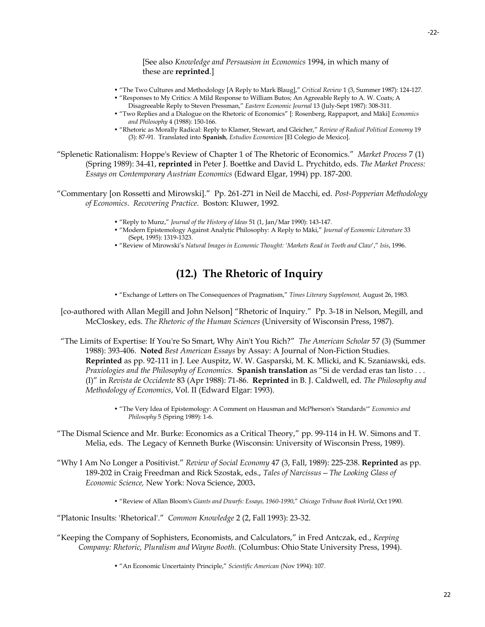[See also *Knowledge and Persuasion in Economics* 1994, in which many of these are **reprinted**.]

- "The Two Cultures and Methodology [A Reply to Mark Blaug]," *Critical Review* 1 (3, Summer 1987): 124-127.
- "Responses to My Critics: A Mild Response to William Butos; An Agreeable Reply to A. W. Coats; A Disagreeable Reply to Steven Pressman," *Eastern Economic Journal* 13 (July-Sept 1987): 308-311.
- "Two Replies and a Dialogue on the Rhetoric of Economics" [: Rosenberg, Rappaport, and Mäki] *Economics and Philosophy* 4 (1988): 150-166.
- "Rhetoric as Morally Radical: Reply to Klamer, Stewart, and Gleicher," *Review of Radical Political Economy* 19 (3): 87-91. Translated into **Spanish**, *Estudios Economicos* [El Colegio de Mexico].

"Splenetic Rationalism: Hoppe's Review of Chapter 1 of The Rhetoric of Economics." *Market Process* 7 (1) (Spring 1989): 34-41, **reprinted** in Peter J. Boettke and David L. Prychitdo, eds. *The Market Process: Essays on Contemporary Austrian Economics* (Edward Elgar, 1994) pp. 187-200.

"Commentary [on Rossetti and Mirowski]." Pp. 261-271 in Neil de Macchi, ed. *Post-Popperian Methodology of Economics*. *Recovering Practice*. Boston: Kluwer, 1992.

- "Reply to Munz," *Journal of the History of Ideas* 51 (1, Jan/Mar 1990): 143-147.
- "Modern Epistemology Against Analytic Philosophy: A Reply to Mäki," *Journal of Economic Literature* 33 (Sept, 1995): 1319-1323.
- "Review of Mirowski's *Natural Images in Economic Thought: 'Markets Read in Tooth and Claw*'," *Isis*, 1996.

# **(12.) The Rhetoric of Inquiry**

• "Exchange of Letters on The Consequences of Pragmatism," *Times Literary Supplement,* August 26, 1983.

[co-authored with Allan Megill and John Nelson] "Rhetoric of Inquiry." Pp. 3-18 in Nelson, Megill, and McCloskey, eds. *The Rhetoric of the Human Sciences* (University of Wisconsin Press, 1987).

"The Limits of Expertise: If You're So Smart, Why Ain't You Rich?" *The American Scholar* 57 (3) (Summer 1988): 393-406. **Noted** *Best American Essays* by Assay: A Journal of Non-Fiction Studies. **Reprinted** as pp. 92-111 in J. Lee Auspitz, W. W. Gasparski, M. K. Mlicki, and K. Szaniawski, eds. *Praxiologies and the Philosophy of Economics*. **Spanish translation** as "Si de verdad eras tan listo . . . (I)" in *Revista de Occidente* 83 (Apr 1988): 71-86. **Reprinted** in B. J. Caldwell, ed. *The Philosophy and Methodology of Economics*, Vol. II (Edward Elgar: 1993).

> • "The Very Idea of Epistemology: A Comment on Hausman and McPherson's 'Standards'" *Economics and Philosophy* 5 (Spring 1989): 1-6.

- "The Dismal Science and Mr. Burke: Economics as a Critical Theory," pp. 99-114 in H. W. Simons and T. Melia, eds. The Legacy of Kenneth Burke (Wisconsin: University of Wisconsin Press, 1989).
- "Why I Am No Longer a Positivist." *Review of Social Economy* 47 (3, Fall, 1989): 225-238. **Reprinted** as pp. 189-202 in Craig Freedman and Rick Szostak, eds., *Tales of Narcissus—The Looking Glass of Economic Science,* New York: Nova Science, 2003**.**
	- "Review of Allan Bloom's *Giants and Dwarfs: Essays, 1960-1990*," *Chicago Tribune Book World*, Oct 1990.
- "Platonic Insults: 'Rhetorical'." *Common Knowledge* 2 (2, Fall 1993): 23-32.
- "Keeping the Company of Sophisters, Economists, and Calculators," in Fred Antczak, ed., *Keeping Company: Rhetoric, Pluralism and Wayne Booth.* (Columbus: Ohio State University Press, 1994).
	- "An Economic Uncertainty Principle," *Scientific American* (Nov 1994): 107.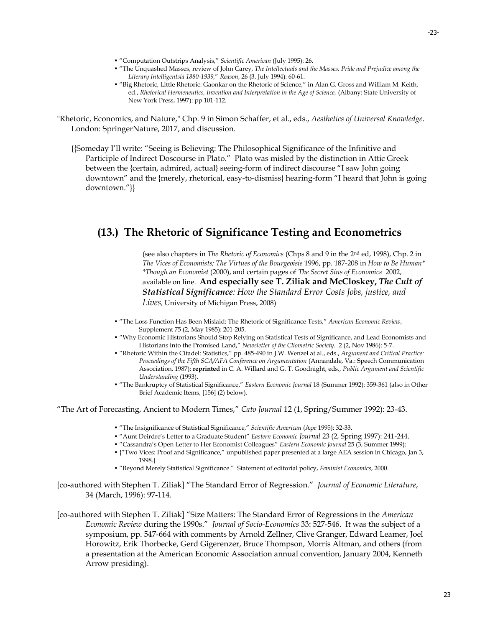- "Computation Outstrips Analysis," *Scientific American* (July 1995): 26.
- "The Unquashed Masses, review of John Carey, *The Intellectuals and the Masses: Pride and Prejudice among the Literary Intelligentsia 1880-1939,*" *Reason*, 26 (3, July 1994): 60-61.
- "Big Rhetoric, Little Rhetoric: Gaonkar on the Rhetoric of Science," in Alan G. Gross and William M. Keith, ed., *Rhetorical Hermeneutics, Invention and Interpretation in the Age of Science*, (Albany: State University of New York Press, 1997): pp 101-112.

"Rhetoric, Economics, and Nature," Chp. 9 in Simon Schaffer, et al., eds., *Aesthetics of Universal Knowledge*. London: SpringerNature, 2017, and discussion.

{{Someday I'll write: "Seeing is Believing: The Philosophical Significance of the Infinitive and Participle of Indirect Doscourse in Plato." Plato was misled by the distinction in Attic Greek between the {certain, admired, actual} seeing-form of indirect discourse "I saw John going downtown" and the {merely, rhetorical, easy-to-dismiss} hearing-form "I heard that John is going downtown."}}

# **(13.) The Rhetoric of Significance Testing and Econometrics**

(see also chapters in *The Rhetoric of Economics* (Chps 8 and 9 in the 2nd ed, 1998), Chp. 2 in *The Vices of Economists; The Virtues of the Bourgeoisie* 1996, pp. 187-208 in *How to Be Human\* \*Though an Economist* (2000), and certain pages of *The Secret Sins of Economics* 2002, available on line. **And especially see T. Ziliak and McCloskey,** *The Cult of Statistical Significance: How the Standard Error Costs Jobs, justice, and Lives,* University of Michigan Press, 2008)

- "The Loss Function Has Been Mislaid: The Rhetoric of Significance Tests," *American Economic Review*, Supplement 75 (2, May 1985): 201-205.
- "Why Economic Historians Should Stop Relying on Statistical Tests of Significance, and Lead Economists and Historians into the Promised Land," *Newsletter of the Cliometric Society*. 2 (2, Nov 1986): 5-7.
- "Rhetoric Within the Citadel: Statistics," pp. 485-490 in J.W. Wenzel at al., eds., *Argument and Critical Practice: Proceedings of the Fifth SCA/AFA Conference on Argumentation* (Annandale, Va.: Speech Communication Association, 1987); **reprinted** in C. A. Willard and G. T. Goodnight, eds., *Public Argument and Scientific Understanding* (1993).
- "The Bankruptcy of Statistical Significance," *Eastern Economic Journal* 18 (Summer 1992): 359-361 (also in Other Brief Academic Items, [156] (2) below).

"The Art of Forecasting, Ancient to Modern Times," *Cato Journal* 12 (1, Spring/Summer 1992): 23-43.

- "The Insignificance of Statistical Significance," *Scientific American* (Apr 1995): 32-33.
- "Aunt Deirdre's Letter to a Graduate Student" *Eastern Economic Journal* 23 (2, Spring 1997): 241-244.
- "Cassandra's Open Letter to Her Economist Colleagues" *Eastern Economic Journal* 25 (3, Summer 1999):
- {"Two Vices: Proof and Significance," unpublished paper presented at a large AEA session in Chicago, Jan 3, 1998.}
- "Beyond Merely Statistical Significance." Statement of editorial policy, *Feminist Economics*, 2000.
- [co-authored with Stephen T. Ziliak] "The Standard Error of Regression." *Journal of Economic Literature*, 34 (March, 1996): 97-114.
- [co-authored with Stephen T. Ziliak] "Size Matters: The Standard Error of Regressions in the *American Economic Review* during the 1990s." *Journal of Socio-Economics* 33: 527-546. It was the subject of a symposium, pp. 547-664 with comments by Arnold Zellner, Clive Granger, Edward Leamer, Joel Horowitz, Erik Thorbecke, Gerd Gigerenzer, Bruce Thompson, Morris Altman, and others (from a presentation at the American Economic Association annual convention, January 2004, Kenneth Arrow presiding).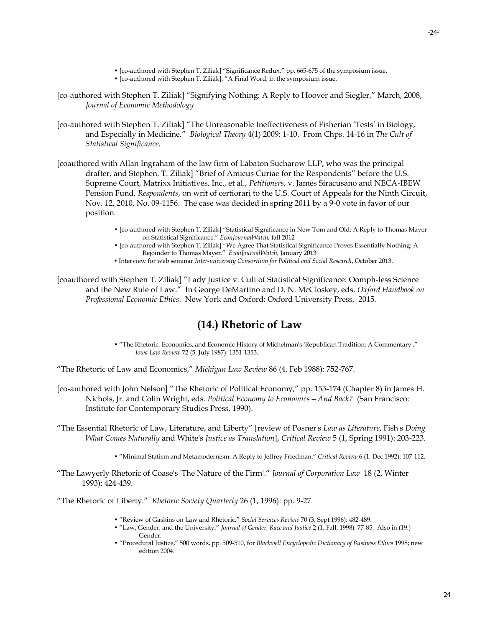- [co-authored with Stephen T. Ziliak] "Significance Redux," pp. 665-675 of the symposium issue. • [co-authored with Stephen T. Ziliak], "A Final Word, in the symposium issue.
- [co-authored with Stephen T. Ziliak] "Signifying Nothing: A Reply to Hoover and Siegler," March, 2008, *Journal of Economic Methodology*
- [co-authored with Stephen T. Ziliak] "The Unreasonable Ineffectiveness of Fisherian 'Tests' in Biology, and Especially in Medicine." *Biological Theory* 4(1) 2009: 1-10. From Chps. 14-16 in *The Cult of Statistical Significance.*
- [coauthored with Allan Ingraham of the law firm of Labaton Sucharow LLP, who was the principal drafter, and Stephen. T. Ziliak] "Brief of Amicus Curiae for the Respondents" before the U.S. Supreme Court, Matrixx Initiatives, Inc., et al., *Petitioners*, v. James Siracusano and NECA-IBEW Pension Fund, *Respondents*, on writ of certiorari to the U.S. Court of Appeals for the Ninth Circuit, Nov. 12, 2010, No. 09-1156. The case was decided in spring 2011 by a 9-0 vote in favor of our position.
	- [co-authored with Stephen T. Ziliak] "Statistical Significance in New Tom and Old: A Reply to Thomas Mayer on Statistical Significance," *EconJournalWatch,* fall 2012
	- [co-authored with Stephen T. Ziliak] "We Agree That Statistical Significance Proves Essentially Nothing: A Rejoinder to Thomas Mayer." *EconJournalWatch,* January 2013
	- Interview for web seminar *Inter-university Consortium for Political and Social Research*, October 2013.

[coauthored with Stephen T. Ziliak] "Lady Justice v. Cult of Statistical Significance: Oomph-less Science and the New Rule of Law." In George DeMartino and D. N. McCloskey, eds. *Oxford Handbook on Professional Economic Ethics*. New York and Oxford: Oxford University Press, 2015.

# **(14.) Rhetoric of Law**

• "The Rhetoric, Economics, and Economic History of Michelman's 'Republican Tradition: A Commentary'," *Iowa Law Review* 72 (5, July 1987): 1351-1353.

"The Rhetoric of Law and Economics," *Michigan Law Review* 86 (4, Feb 1988): 752-767.

- [co-authored with John Nelson] "The Rhetoric of Political Economy," pp. 155-174 (Chapter 8) in James H. Nichols, Jr. and Colin Wright, eds. *Political Economy to Economics—And Back?* (San Francisco: Institute for Contemporary Studies Press, 1990).
- "The Essential Rhetoric of Law, Literature, and Liberty" [review of Posner's *Law as Literature*, Fish's *Doing What Comes Naturally* and White's *Justice as Translation*], *Critical Review* 5 (1, Spring 1991): 203-223.
	- "Minimal Statism and Metamodernism: A Reply to Jeffrey Friedman," *Critical Review* 6 (1, Dec 1992): 107-112.
- "The Lawyerly Rhetoric of Coase's 'The Nature of the Firm'." *Journal of Corporation Law* 18 (2, Winter 1993): 424-439.

"The Rhetoric of Liberty." *Rhetoric Society Quarterly* 26 (1, 1996): pp. 9-27.

- "Review of Gaskins on Law and Rhetoric," *Social Services Review* 70 (3, Sept 1996): 482-489.
- "Law, Gender, and the University," *Journal of Gender, Race and Justice* 2 (1, Fall, 1998): 77-85. Also in (19.) Gender.
- "Procedural Justice," 500 words, pp. 509-510, for *Blackwell Encyclopedic Dictionary of Business Ethics* 1998; new edition 2004.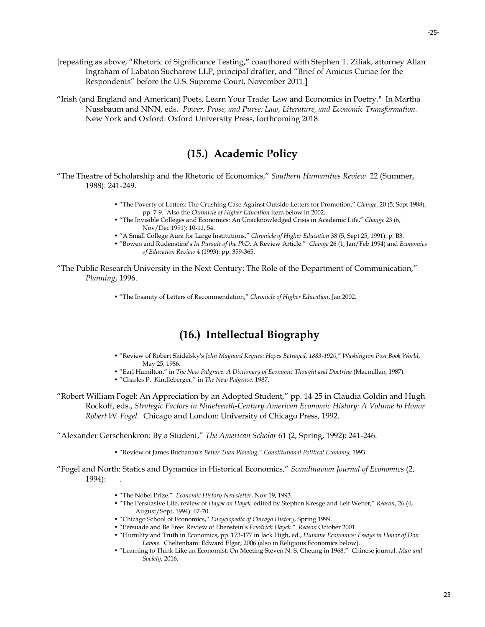- [repeating as above, "Rhetoric of Significance Testing**,"** coauthored with Stephen T. Ziliak, attorney Allan Ingraham of Labaton Sucharow LLP, principal drafter, and "Brief of Amicus Curiae for the Respondents" before the U.S. Supreme Court, November 2011.]
- "Irish (and England and American) Poets, Learn Your Trade: Law and Economics in Poetry." In Martha Nussbaum and NNN, eds. *Power, Prose, and Purse: Law, Literature, and Economic Transformation.*  New York and Oxford: Oxford University Press, forthcoming 2018.

# **(15.) Academic Policy**

"The Theatre of Scholarship and the Rhetoric of Economics," *Southern Humanities Review* 22 (Summer, 1988): 241-249.

- "The Poverty of Letters: The Crushing Case Against Outside Letters for Promotion," *Change*, 20 (5, Sept 1988), pp. 7-9. Also the *Chronicle of Higher Education* item below in 2002.
- "The Invisible Colleges and Economics: An Unacknowledged Crisis in Academic Life," *Change* 23 (6, Nov/Dec 1991): 10-11, 54.
- "A Small College Aura for Large Institutions," *Chronicle of Higher Education* 38 (5, Sept 25, 1991): p. B3.
- "Bowen and Rudenstine's *In Pursuit of the PhD:* A Review Article." *Change* 26 (1, Jan/Feb 1994) and *Economics of Education Review* 4 (1993): pp. 359-365.
- "The Public Research University in the Next Century: The Role of the Department of Communication," *Planning*, 1996.
	- "The Insanity of Letters of Recommendation," *Chronicle of Higher Education*, Jan 2002.

# **(16.) Intellectual Biography**

- "Review of Robert Skidelsky's *John Maynard Keynes: Hopes Betrayed, 1883-1920*," *Washington Post Book World*, May 25, 1986.
- "Earl Hamilton," in *The New Palgrave: A Dictionary of Economic Thought and Doctrine* (Macmillan, 1987).
- "Charles P. Kindleberger," in *The New Palgrave,* 1987.

"Robert William Fogel: An Appreciation by an Adopted Student," pp. 14-25 in Claudia Goldin and Hugh Rockoff, eds., *Strategic Factors in Nineteenth-Century American Economic History: A Volume to Honor Robert W. Fogel.* Chicago and London: University of Chicago Press, 1992.

"Alexander Gerschenkron: By a Student," *The American Scholar* 61 (2, Spring, 1992): 241-246.

- "Review of James Buchanan's *Better Than Plowing.*" *Constitutional Political Economy,* 1993.
- "Fogel and North: Statics and Dynamics in Historical Economics," *Scandinavian Journal of Economics* (2, 1994): .
	- "The Nobel Prize." *Economic History Newsletter*, Nov 19, 1993.
	- "The Persuasive Life, review of *Hayek on Hayek,* edited by Stephen Kresge and Leif Wener," *Reason*, 26 (4, August/Sept, 1994): 67-70.
	- "Chicago School of Economics," *Encyclopedia of Chicago History*, Spring 1999.
	- "Persuade and Be Free: Review of Ebenstein's *Friedrich Hayek." Reason* October 2001
	- "Humility and Truth in Economics, pp. 173-177 in Jack High, ed., *Humane Economics: Essays in Honor of Don Lavoie*. Cheltenham: Edward Elgar, 2006 (also in Religious Economics below).
	- "Learning to Think Like an Economist: On Meeting Steven N. S. Cheung in 1968." Chinese journal, *Man and Society*, 2016.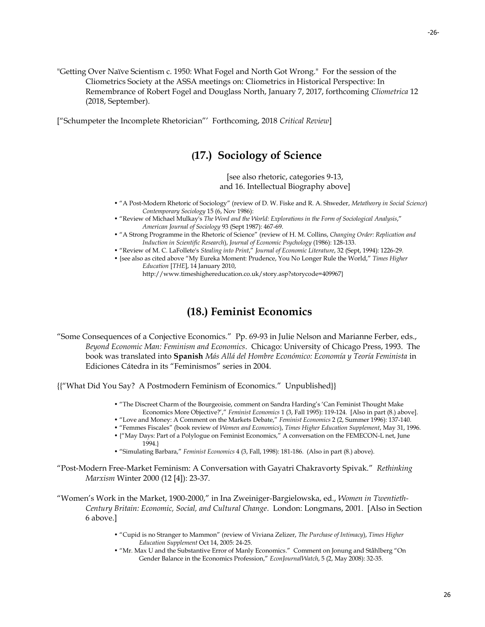"Getting Over Naïve Scientism c. 1950: What Fogel and North Got Wrong." For the session of the Cliometrics Society at the ASSA meetings on: Cliometrics in Historical Perspective: In Remembrance of Robert Fogel and Douglass North, January 7, 2017, forthcoming *Cliometrica* 12 (2018, September).

["Schumpeter the Incomplete Rhetorician"' Forthcoming, 2018 *Critical Review*]

### **(17.) Sociology of Science**

[see also rhetoric, categories 9-13, and 16. Intellectual Biography above]

- "A Post-Modern Rhetoric of Sociology" (review of D. W. Fiske and R. A. Shweder, *Metatheory in Social Science*) *Contemporary Sociology* 15 (6, Nov 1986):
- "Review of Michael Mulkay's *The Word and the World: Explorations in the Form of Sociological Analysis*," *American Journal of Sociology* 93 (Sept 1987): 467-69.
- "A Strong Programme in the Rhetoric of Science" (review of H. M. Collins, *Changing Order: Replication and Induction in Scientific Research*), *Journal of Economic Psychology* (1986): 128-133.
- "Review of M. C. LaFollete's *Stealing into Print*," *Journal of Economic Literature*, 32 (Sept, 1994): 1226-29.
- {see also as cited above "My Eureka Moment: Prudence, You No Longer Rule the World," *Times Higher Education* [*THE*], 14 January 2010,

http://www.timeshighereducation.co.uk/story.asp?storycode=409967}

### **(18.) Feminist Economics**

"Some Consequences of a Conjective Economics." Pp. 69-93 in Julie Nelson and Marianne Ferber, eds., *Beyond Economic Man: Feminism and Economics*. Chicago: University of Chicago Press, 1993. The book was translated into **Spanish** *Más Allá del Hombre Económico: Economía y Teoría Feminista* in Ediciones Cátedra in its "Feminismos" series in 2004.

{{"What Did You Say? A Postmodern Feminism of Economics." Unpublished}}

- "The Discreet Charm of the Bourgeoisie, comment on Sandra Harding's 'Can Feminist Thought Make Economics More Objective?'," *Feminist Economics* 1 (3, Fall 1995): 119-124. [Also in part (8.) above].
- "Love and Money: A Comment on the Markets Debate," *Feminist Economics* 2 (2, Summer 1996): 137-140.
- "Femmes Fiscales" (book review of *Women and Economics*), *Times Higher Education Supplement*, May 31, 1996.
- {"May Days: Part of a Polylogue on Feminist Economics," A conversation on the FEMECON-L net, June 1994.}
- "Simulating Barbara," *Feminist Economics* 4 (3, Fall, 1998): 181-186. (Also in part (8.) above).
- "Post-Modern Free-Market Feminism: A Conversation with Gayatri Chakravorty Spivak." *Rethinking Marxism* Winter 2000 (12 [4]): 23-37.
- "Women's Work in the Market, 1900-2000," in Ina Zweiniger-Bargielowska, ed., *Women in Twentieth-Century Britain: Economic, Social, and Cultural Change*. London: Longmans, 2001. [Also in Section 6 above.]
	- "Cupid is no Stranger to Mammon" (review of Viviana Zelizer, *The Purchase of Intimacy*), *Times Higher Education Supplement* Oct 14, 2005: 24-25.
	- "Mr. Max U and the Substantive Error of Manly Economics." Comment on Jonung and Ståhlberg "On Gender Balance in the Economics Profession," *EconJournalWatch*, 5 (2, May 2008): 32-35.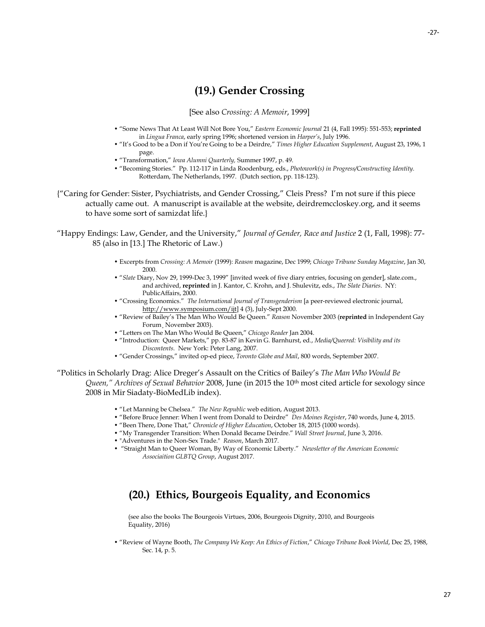# **(19.) Gender Crossing**

[See also *Crossing: A Memoir*, 1999]

- "Some News That At Least Will Not Bore You," *Eastern Economic Journal* 21 (4, Fall 1995): 551-553; **reprinted** in *Lingua Franca*, early spring 1996; shortened version in *Harper's*, July 1996.
- "It's Good to be a Don if You're Going to be a Deirdre," *Times Higher Education Supplement*, August 23, 1996, 1 page.
- "Transformation," *Iowa Alumni Quarterly,* Summer 1997, p. 49.
- "Becoming Stories." Pp. 112-117 in Linda Roodenburg, eds., *Photowork(s) in Progress/Constructing Identity.*  Rotterdam, The Netherlands, 1997. (Dutch section, pp. 118-123).
- {"Caring for Gender: Sister, Psychiatrists, and Gender Crossing," Cleis Press? I'm not sure if this piece actually came out. A manuscript is available at the website, deirdremccloskey.org, and it seems to have some sort of samizdat life.}

"Happy Endings: Law, Gender, and the University," *Journal of Gender, Race and Justice* 2 (1, Fall, 1998): 77- 85 (also in [13.] The Rhetoric of Law.)

- Excerpts from *Crossing: A Memoir* (1999): *Reason* magazine, Dec 1999; *Chicago Tribune Sunday Magazine*, Jan 30, 2000.
- "*Slate* Diary, Nov 29, 1999-Dec 3, 1999" [invited week of five diary entries, focusing on gender], slate.com., and archived, **reprinted** in J. Kantor, C. Krohn, and J. Shulevitz, eds., *The Slate Diaries*. NY: PublicAffairs, 2000.
- "Crossing Economics." *The International Journal of Transgenderism* [a peer-reviewed electronic journal, [http://www.symposium.com/ijt\]](http://www.symposium.com/ijt) 4 (3), July-Sept 2000.
- "Review of Bailey's The Man Who Would Be Queen." *Reason* November 2003 (**reprinted** in Independent Gay Forum¸ November 2003).
- "Letters on The Man Who Would Be Queen," *Chicago Reader* Jan 2004.
- "Introduction: Queer Markets," pp. 83-87 in Kevin G. Barnhurst, ed., *Media/Queered: Visibility and its Discontents.* New York: Peter Lang, 2007.
- "Gender Crossings," invited op-ed piece, *Toronto Globe and Mail*, 800 words, September 2007.

"Politics in Scholarly Drag: Alice Dreger's Assault on the Critics of Bailey's *The Man Who Would Be Queen," Archives of Sexual Behavior* 2008, June (in 2015 the 10th most cited article for sexology since 2008 in Mir Siadaty-BioMedLib index).

- "Let Manning be Chelsea." *The New Republic* web edition, August 2013.
- "Before Bruce Jenner: When I went from Donald to Deirdre" *Des Moines Register*, 740 words, June 4, 2015.
- "Been There, Done That," *Chronicle of Higher Education*, October 18, 2015 (1000 words).
- "My Transgender Transition: When Donald Became Deirdre." *Wall Street Journal*, June 3, 2016.
- "Adventures in the Non-Sex Trade." *Reason*, March 2017.
- "Straight Man to Queer Woman, By Way of Economic Liberty." *Newsletter of the American Economic Associaition GLBTQ Group*, August 2017.

# **(20.) Ethics, Bourgeois Equality, and Economics**

(see also the books The Bourgeois Virtues, 2006, Bourgeois Dignity, 2010, and Bourgeois Equality, 2016)

• "Review of Wayne Booth, *The Company We Keep: An Ethics of Fiction*," *Chicago Tribune Book World*, Dec 25, 1988, Sec. 14, p. 5.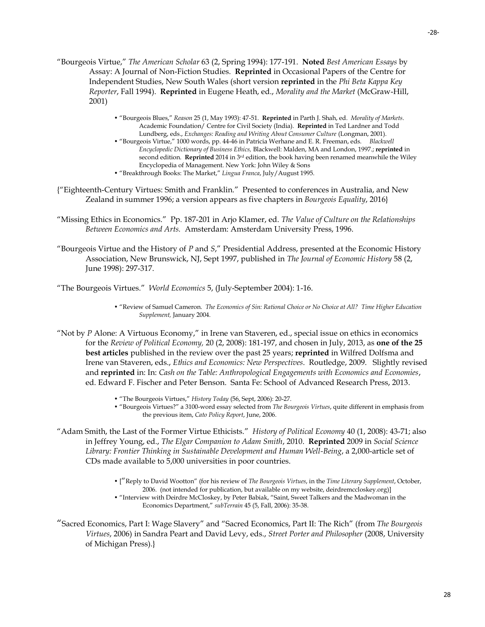- "Bourgeois Virtue," *The American Scholar* 63 (2, Spring 1994): 177-191. **Noted** *Best American Essays* by Assay: A Journal of Non-Fiction Studies. **Reprinted** in Occasional Papers of the Centre for Independent Studies, New South Wales (short version **reprinted** in the *Phi Beta Kappa Key Reporter*, Fall 1994). **Reprinted** in Eugene Heath, ed., *Morality and the Market* (McGraw-Hill, 2001)
	- "Bourgeois Blues," *Reason* 25 (1, May 1993): 47-51. **Reprinted** in Parth J. Shah, ed. *Morality of Markets*. Academic Foundation/ Centre for Civil Society (India). **Reprinted** in Ted Lardner and Todd Lundberg, eds., *Exchanges: Reading and Writing About Consumer Culture* (Longman, 2001).
	- "Bourgeois Virtue," 1000 words, pp. 44-46 in Patricia Werhane and E. R. Freeman, eds. *Blackwell Encyclopedic Dictionary of Business Ethics,* Blackwell: Malden, MA and London, 1997.; **reprinted** in second edition. **Reprinted** 2014 in 3rd edition, the book having been renamed meanwhile the Wiley Encyclopedia of Management. New York: John Wiley & Sons
	- "Breakthrough Books: The Market," *Lingua Franca*, July/August 1995.
- {"Eighteenth-Century Virtues: Smith and Franklin." Presented to conferences in Australia, and New Zealand in summer 1996; a version appears as five chapters in *Bourgeois Equality*, 2016}
- "Missing Ethics in Economics." Pp. 187-201 in Arjo Klamer, ed. *The Value of Culture on the Relationships Between Economics and Arts.* Amsterdam: Amsterdam University Press, 1996.
- "Bourgeois Virtue and the History of *P* and *S*," Presidential Address, presented at the Economic History Association, New Brunswick, NJ, Sept 1997, published in *The Journal of Economic History* 58 (2, June 1998): 297-317.

"The Bourgeois Virtues." *World Economics* 5, (July-September 2004): 1-16.

- "Review of Samuel Cameron. *The Economics of Sin: Rational Choice or No Choice at All? Time Higher Education Supplement,* January 2004.
- "Not by *P* Alone: A Virtuous Economy," in Irene van Staveren, ed., special issue on ethics in economics for the *Review of Political Economy,* 20 (2, 2008): 181-197, and chosen in July, 2013, as **one of the 25 best articles** published in the review over the past 25 years; **reprinted** in Wilfred Dolfsma and Irene van Staveren, eds., *Ethics and Economics: New Perspectives*. Routledge, 2009. Slightly revised and **reprinted** in: In: *Cash on the Table: Anthropological Engagements with Economics and Economies*, ed. Edward F. Fischer and Peter Benson. Santa Fe: School of Advanced Research Press, 2013.
	- "The Bourgeois Virtues," *History Today* (56, Sept, 2006): 20-27.
	- "Bourgeois Virtues?" a 3100-word essay selected from *The Bourgeois Virtues*, quite different in emphasis from the previous item, *Cato Policy Report*, June, 2006.
- "Adam Smith, the Last of the Former Virtue Ethicists." *History of Political Economy* 40 (1, 2008): 43-71; also in Jeffrey Young, ed., *The Elgar Companion to Adam Smith*, 2010. **Reprinted** 2009 in *Social Science Library: Frontier Thinking in Sustainable Development and Human Well-Being*, a 2,000-article set of CDs made available to 5,000 universities in poor countries.
	- ["Reply to David Wootton" (for his review of *The Bourgeois Virtues*, in the *Time Literary Supplement*, October, 2006. (not intended for publication, but available on my website, deirdremccloskey.org)] • "Interview with Deirdre McCloskey, by Peter Babiak, "Saint, Sweet Talkers and the Madwoman in the Economics Department," *subTerrain* 45 (5, Fall, 2006): 35-38.
- "Sacred Economics, Part I: Wage Slavery" and "Sacred Economics, Part II: The Rich" (from *The Bourgeois Virtues*, 2006) in Sandra Peart and David Levy, eds., *Street Porter and Philosopher* (2008, University of Michigan Press).}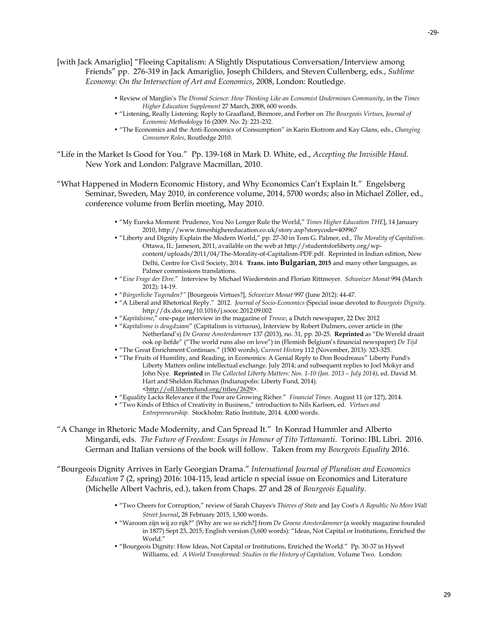[with Jack Amariglio] "Fleeing Capitalism: A Slightly Disputatious Conversation/Interview among Friends" pp. 276-319 in Jack Amariglio, Joseph Childers, and Steven Cullenberg, eds., *Sublime Economy: On the Intersection of Art and Economics*, 2008, London: Routledge.

- Review of Marglin's *The Dismal Science: How Thinking Like an Economist Undermines Community*, in the *Times Higher Education Supplement* 27 March, 2008, 600 words.
- "Listening, Really Listening: Reply to Graafland, Binmore, and Ferber on *The Bourgeois Virtues*, *Journal of Economic Methodology* 16 (2009. No. 2): 221-232.
- "The Economics and the Anti-Economics of Consumption" in Karin Ekstrom and Kay Glans, eds., *Changing Consumer Roles*, Routledge 2010.
- "Life in the Market Is Good for You." Pp. 139-168 in Mark D. White, ed., *Accepting the Invisible Hand*. New York and London: Palgrave Macmillan, 2010.
- "What Happened in Modern Economic History, and Why Economics Can't Explain It." Engelsberg Seminar, Sweden, May 2010, in conference volume, 2014, 5700 words; also in Michael Zöller, ed., conference volume from Berlin meeting, May 2010.
	- "My Eureka Moment: Prudence, You No Longer Rule the World," *Times Higher Education THE*], 14 January 2010, http://www.timeshighereducation.co.uk/story.asp?storycode=409967
	- "Liberty and Dignity Explain the Modern World," pp. 27-30 in Tom G. Palmer, ed., *The Morality of Capitalism*. Ottawa, IL: Jameson, 2011, available on the web a[t http://studentsforliberty.org/wp](http://studentsforliberty.org/wp-content/uploads/2011/04/The-Morality-of-Capitalism-PDF.pdf)[content/uploads/2011/04/The-Morality-of-Capitalism-PDF.pdf.](http://studentsforliberty.org/wp-content/uploads/2011/04/The-Morality-of-Capitalism-PDF.pdf) Reprinted in Indian edition, New Delhi, Centre for Civil Society, 2014. **Trans. into Bulgarian, 2015** and many other languages, as Palmer commissions translations.
	- "*Eine Frage der Ehre*." Interview by Michael Wiederstein and Florian Rittmeyer. *Schweizer Monat* 994 (March 2012): 14-19.
	- "*Bürgerliche Tugenden?"* [Bourgeois Virtues?], *Schweizer Monat* 997 (June 2012): 44-47.
	- "A Liberal and Rhetorical Reply." 2012. *Journal of Socio-Economics* (Special issue devoted to *Bourgeois Dignity*. <http://dx.doi.org/10.1016/j.socec.2012.09.002>
	- "*Kapitalsime*," one-page interview in the magazine of *Trouw*, a Dutch newspaper, 22 Dec 2012
	- "*Kapitalisme is deugdzaam*" (Capitalism is virtuous), Interview by Robert Dulmers, cover article in (the Netherland's) *De Groene Amsterdammer* 137 (2013), no. 31, pp. 20-25. **Reprinted** as "De Wereld draait ook op liefde" ("The world runs also on love") in (Flemish Belgium's financial newspaper) *De Tijd*
	- "The Great Enrichment Continues." (1500 words), *Current History* 112 (November, 2013): 323-325.
	- "The Fruits of Humility, and Reading, in Economics: A Genial Reply to Don Boudreaux" Liberty Fund's Liberty Matters online intellectual exchange. July 2014; and subsequent replies to Joel Mokyr and John Nye. **Reprinted** in *The Collected Liberty Matters: Nos. 1-10 (Jan. 2013 – July 2014)*, ed. David M. Hart and Sheldon Richman (Indianapolis: Liberty Fund, 2014). [<http://oll.libertyfund.org/titles/2629>](http://oll.libertyfund.org/titles/2629).
	- "Equality Lacks Relevance if the Poor are Growing Richer." *Financial Times*. August 11 (or 12?), 2014.
	- "Two Kinds of Ethics of Creativity in Business," introduction to Nils Karlson, ed. *Virtues and Entrepreneurship*. Stockholm: Ratio Institute, 2014. 4,000 words.
- "A Change in Rhetoric Made Modernity, and Can Spread It." In Konrad Hummler and Alberto Mingardi, eds. *The Future of Freedom: Essays in Honour of Tito Tettamanti*. Torino: IBL Libri. 2016. German and Italian versions of the book will follow. Taken from my *Bourgeois Equality* 2016.

"Bourgeois Dignity Arrives in Early Georgian Drama." *International Journal of Pluralism and Economics Education* 7 (2, spring) 2016: 104-115, lead article n special issue on Economics and Literature (Michelle Albert Vachris, ed.), taken from Chaps. 27 and 28 of *Bourgeois Equality*.

- "Two Cheers for Corruption," review of Sarah Chayes's *Thieves of State* and Jay Cost's *A Republic No More Wall Street Journal***,** 28 February 2015, 1,500 words.
- "Waroom zijn wij zo rijk?" {Why are we so rich?] from *De Groene Amsterdammer* (a weekly magazine founded in 1877) Sept 23, 2015; English version (3,600 words): "Ideas, Not Capital or Institutions, Enriched the World."
- "Bourgeois Dignity: How Ideas, Not Capital or Institutions, Enriched the World." Pp. 30-37 in Hywel Williams, ed. *A World Transformed: Studies in the History of Capitalism,* Volume Two. London: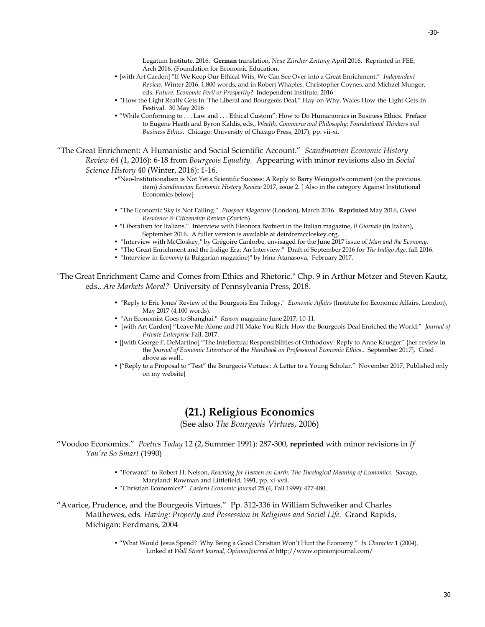Legatum Institute, 2016. **German** translation, *Neue Zürcher Zeitung* April 2016. Reprinted in FEE, Arch 2016. (Foundation for Economic Education,

- [with Art Carden] "If We Keep Our Ethical Wits, We Can See Over into a Great Enrichment." *Independent Review*, Winter 2016. 1,800 words, and in Robert Whaples, Christopher Coynes, and Michael Munger, eds. *Future: Economic Peril or Prosperity?* Independent Institute, 2016
- "How the Light Really Gets In: The Liberal and Bourgeois Deal," Hay-on-Why, Wales How-the-Light-Gets-In Festival. 30 May 2016
- "While Conforming to . . . Law and . . . Ethical Custom": How to Do Humanomics in Business Ethics. Preface to Eugene Heath and Byron Kaldis, eds., *Wealth, Commerce and Philosophy: Foundational Thinkers and Business Ethics*. Chicago: University of Chicago Press, 2017), pp. vii-xi.

"The Great Enrichment: A Humanistic and Social Scientific Account." *Scandinavian Economic History Review* 64 (1, 2016): 6-18 from *Bourgeois Equality.* Appearing with minor revisions also in *Social Science History* 40 (Winter, 2016): 1-16.

- •"Neo-Institutionalism is Not Yet a Scientific Success: A Reply to Barry Weingast's comment (on the previous item) *Scandinavian Economic History Review* 2017, issue 2. [ Also in the category Against Institutional Economics below]
- "The Economic Sky is Not Falling." *Prospect Magazine* (London), March 2016. **Reprinted** May 2016, *Global Residence & Citizenship Review* (Zurich).
- **"**Liberalism for Italians." Interview with Eleonora Barbieri in the Italian magazine, *Il Giornale* (in Italian), September 2016. A fuller version is available at deirdremccloskey.org.
- **"**Interview with McCloskey," by Grégoire Canlorbe, envisaged for the June 2017 issue of *Man and the Economy.*
- **"**The Great Enrichment and the Indigo Era: An Interview." Draft of September 2016 for *The Indigo Age*, fall 2016.
- "Interview in *Economy* (a Bulgarian magazine)" by Irina Atanasova, February 2017.

"The Great Enrichment Came and Comes from Ethics and Rhetoric." Chp. 9 in Arthur Metzer and Steven Kautz, eds., *Are Markets Moral?* University of Pennsylvania Press, 2018.

- "Reply to Eric Jones' Review of the Bourgeois Era Trilogy." *Economic Affairs* (Institute for Economic Affairs, London), May 2017 (4,100 words).
- "An Economist Goes to Shanghai." *Reason* magazine June 2017: 10-11.
- [with Art Carden] "Leave Me Alone and I'll Make You Rich: How the Bourgeois Deal Enriched the World." *Journal of Private Enterprise* Fall, 2017.
- [[with George F. DeMartino] "The Intellectual Responsibilities of Orthodoxy: Reply to Anne Krueger" {her review in the *Journal of Economic Literature* of the *Handbook on Professional Economic Ethics*.. September 2017]. Cited above as well..
- {"Reply to a Proposal to "Test" the Bourgeois Virtues:: A Letter to a Young Scholar." November 2017, Published only on my website}

### **(21.) Religious Economics**

(See also *The Bourgeois Virtues*, 2006)

- "Voodoo Economics." *Poetics Today* 12 (2, Summer 1991): 287-300, **reprinted** with minor revisions in *If You're So Smart* (1990)
	- "Forward" to Robert H. Nelson, *Reaching for Heaven on Earth: The Theological Meaning of Economics*. Savage, Maryland: Rowman and Littlefield, 1991, pp. xi-xvii.
	- "Christian Economics?" *Eastern Economic Journal* 25 (4, Fall 1999): 477-480.

"Avarice, Prudence, and the Bourgeois Virtues." Pp. 312-336 in William Schweiker and Charles Matthewes, eds. *Having: Property and Possession in Religious and Social Life.* Grand Rapids, Michigan: Eerdmans, 2004

> • "What Would Jesus Spend? Why Being a Good Christian Won't Hurt the Economy." *In Character* 1 (2004). Linked at *Wall Street Journal, OpinionJournal at* <http://www.opinionjournal.com/>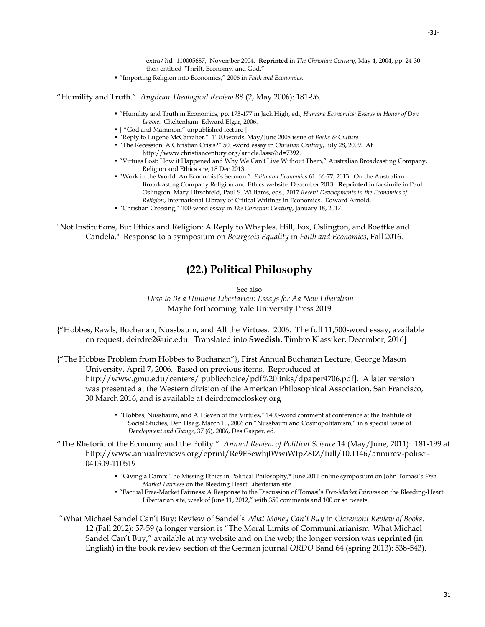extra/?id=110005687, November 2004. **Reprinted** in *The Christian Century*, May 4, 2004, pp. 24-30. then entitled "Thrift, Economy, and God."

• "Importing Religion into Economics," 2006 in *Faith and Economics.*

"Humility and Truth." *Anglican Theological Review* 88 (2, May 2006): 181-96.

- "Humility and Truth in Economics, pp. 173-177 in Jack High, ed., *Humane Economics: Essays in Honor of Don Lavoie*. Cheltenham: Edward Elgar, 2006.
- {{"God and Mammon," unpublished lecture ]}
- "Reply to Eugene McCarraher." 1100 words, May/June 2008 issue of *Books & Culture*
- "The Recession: A Christian Crisis?" 500-word essay in *Christian Century*, July 28, 2009. At [http://www.christiancentury.org/article.lasso?id=7392.](http://www.christiancentury.org/article.lasso?id=7392)
- "Virtues Lost: How it Happened and Why We Can't Live Without Them," Australian Broadcasting Company, Religion and Ethics site, 18 Dec 2013
- "Work in the World: An Economist's Sermon." *Faith and Economics* 61: 66-77, 2013. On the Australian Broadcasting Company Religion and Ethics website, December 2013. **Reprinted** in facsimile in Paul Oslington, Mary Hirschfeld, Paul S. Williams, eds., 2017 *Recent Developments in the Economics of Religion*, International Library of Critical Writings in Economics. Edward Arnold.
- "Christian Crossing," 100-word essay in *The Christian Century*, January 18, 2017.

"Not Institutions, But Ethics and Religion: A Reply to Whaples, Hill, Fox, Oslington, and Boettke and Candela." Response to a symposium on *Bourgeois Equality* in *Faith and Economics*, Fall 2016.

### **(22.) Political Philosophy**

See also

*How to Be a Humane Libertarian: Essays for Aa New Liberalism* Maybe forthcoming Yale University Press 2019

{"Hobbes, Rawls, Buchanan, Nussbaum, and All the Virtues. 2006. The full 11,500-word essay, available on request, deirdre2@uic.edu. Translated into **Swedish**, Timbro Klassiker, December, 2016]

{"The Hobbes Problem from Hobbes to Buchanan"}, First Annual Buchanan Lecture, George Mason University, April 7, 2006. Based on previous items. Reproduced at [http://www.gmu.edu/centers/ publicchoice/pdf%20links/dpaper4706.pdf\]](http://www.gmu.edu/centers/%20publicchoice/pdf%20links/dpaper4706.pdf). A later version was presented at the Western division of the American Philosophical Association, San Francisco, 30 March 2016, and is available at deirdremccloskey.org

- "Hobbes, Nussbaum, and All Seven of the Virtues," 1400-word comment at conference at the Institute of Social Studies, Den Haag, March 10, 2006 on "Nussbaum and Cosmopolitanism," in a special issue of *Development and Change*, 37 (6), 2006, Des Gasper, ed.
- "The Rhetoric of the Economy and the Polity." *Annual Review of Political Science* 14 (May/June, 2011): 181-199 at http://www.annualreviews.org/eprint/Re9E3ewhjIWwiWtpZ8tZ/full/10.1146/annurev-polisci-041309-110519
	- ''Giving a Damn: The Missing Ethics in Political Philosophy,\* June 2011 online symposium on John Tomasi's *Free Market Fairness* on the Bleeding Heart Libertarian site
	- "Factual Free-Market Fairness: A Response to the Discussion of Tomasi's *Free-Market Fairness* on the Bleeding-Heart Libertarian site, week of June 11, 2012," with 350 comments and 100 or so tweets.

"What Michael Sandel Can't Buy: Review of Sandel's *What Money Can't Buy* in *Claremont Review of Books*. 12 (Fall 2012): 57-59 (a longer version is "The Moral Limits of Communitarianism: What Michael Sandel Can't Buy," available at my website and on the web; the longer version was **reprinted** (in English) in the book review section of the German journal *ORDO* Band 64 (spring 2013): 538-543).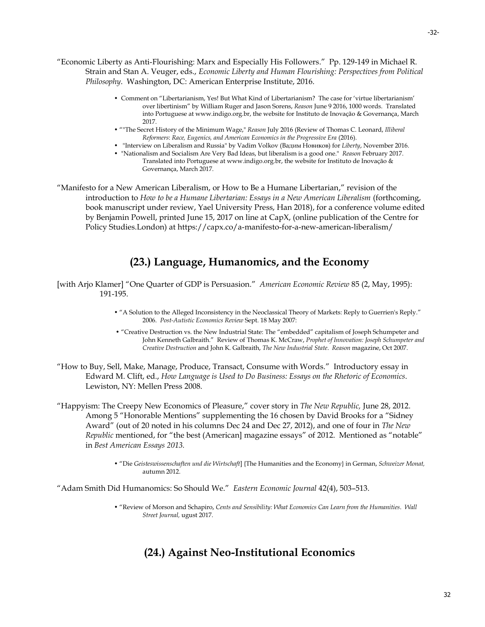- Comment on "Libertarianism, Yes! But What Kind of Libertarianism? The case for 'virtue libertarianism' over libertinism" by William Ruger and Jason Sorens, *Reason* June 9 2016, 1000 words. Translated into Portuguese at www.indigo.org.br, the website for Instituto de Inovação & Governança, March 2017.
- ""The Secret History of the Minimum Wage," *Reason* July 2016 (Review of Thomas C. Leonard, *Illiberal Reformers*: *Race, Eugenics, and American Economics in the Progressive Era* (2016).
- "Interview on Liberalism and Russia" by Vadim Volkov (Вадим Новиков) for *Liberty*, November 2016.
- "Nationalism and Socialism Are Very Bad Ideas, but liberalism is a good one." *Reason* February 2017. Translated into Portuguese at www.indigo.org.br, the website for Instituto de Inovação & Governança, March 2017.

"Manifesto for a New American Liberalism, or How to Be a Humane Libertarian," revision of the introduction to *How to be a Humane Libertarian: Essays in a New American Liberalism* (forthcoming, book manuscript under review, Yael University Press, Han 2018), for a conference volume edited by Benjamin Powell, printed June 15, 2017 on line at CapX, (online publication of the Centre for Policy Studies.London) at<https://capx.co/a-manifesto-for-a-new-american-liberalism/>

# **(23.) Language, Humanomics, and the Economy**

- [with Arjo Klamer] "One Quarter of GDP is Persuasion." *American Economic Review* 85 (2, May, 1995): 191-195.
	- "A Solution to the Alleged Inconsistency in the Neoclassical Theory of Markets: Reply to Guerrien's Reply." 2006. *Post-Autistic Economics Review* Sept. 18 May 2007:
	- "Creative Destruction vs. the New Industrial State: The "embedded" capitalism of Joseph Schumpeter and John Kenneth Galbraith." Review of Thomas K. McCraw, *Prophet of Innovation: Joseph Schumpeter and Creative Destruction* and John K. Galbraith, *The New Industrial State*. *Reason* magazine, Oct 2007.
- "How to Buy, Sell, Make, Manage, Produce, Transact, Consume with Words." Introductory essay in Edward M. Clift, ed., *How Language is Used to Do Business: Essays on the Rhetoric of Economics*. Lewiston, NY: Mellen Press 2008.
- "Happyism: The Creepy New Economics of Pleasure," cover story in *The New Republic,* June 28, 2012. Among 5 "Honorable Mentions" supplementing the 16 chosen by David Brooks for a "Sidney Award" (out of 20 noted in his columns Dec 24 and Dec 27, 2012), and one of four in *The New Republic* mentioned, for "the best (American] magazine essays" of 2012. Mentioned as "notable" in *Best American Essays 2013.*
	- "Die *Geisteswissenschaften und die Wirtschaft*] {The Humanities and the Economy} in German, *Schweizer Monat,*  autumn 2012.

"Adam Smith Did Humanomics: So Should We." *Eastern Economic Journal* 42(4), 503–513.

• "Review of Morson and Schapiro, *Cents and Sensibility: What Economics Can Learn from the Humanities*. *Wall Street Journal,* ugust 2017.

# **(24.) Against Neo-Institutional Economics**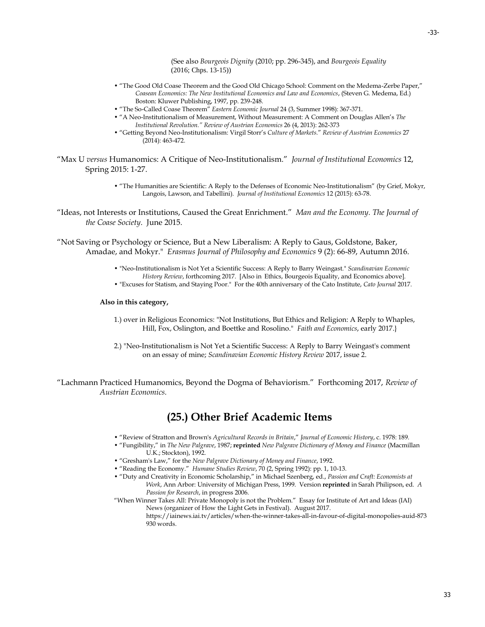(See also *Bourgeois Dignity* (2010; pp. 296-345), and *Bourgeois Equality* (2016; Chps. 13-15))

- "The Good Old Coase Theorem and the Good Old Chicago School: Comment on the Medema-Zerbe Paper," *Coasean Economics: The New Institutional Economics and Law and Economics*, (Steven G. Medema, Ed.) Boston: Kluwer Publishing, 1997, pp. 239-248.
- "The So-Called Coase Theorem" *Eastern Economic Journal* 24 (3, Summer 1998): 367-371.
- "A Neo-Institutionalism of Measurement, Without Measurement: A Comment on Douglas Allen's *The Institutional Revolution." Review of Austrian Economics* 26 (4, 2013): 262-373
- "Getting Beyond Neo-Institutionalism: Virgil Storr's *Culture of Markets*." *Review of Austrian Economics* 27 (2014): 463-472.
- "Max U *versus* Humanomics: A Critique of Neo-Institutionalism." *Journal of Institutional Economics* 12, Spring 2015: 1-27.
	- "The Humanities are Scientific: A Reply to the Defenses of Economic Neo-Institutionalism" (by Grief, Mokyr, Langois, Lawson, and Tabellini). *Journal of Institutional Economics* 12 (2015): 63-78.
- "Ideas, not Interests or Institutions, Caused the Great Enrichment." *Man and the Economy. The Journal of the Coase Society*. June 2015.

"Not Saving or Psychology or Science, But a New Liberalism: A Reply to Gaus, Goldstone, Baker, Amadae, and Mokyr." *Erasmus Journal of Philosophy and Economics* 9 (2): 66-89, Autumn 2016.

- "Neo-Institutionalism is Not Yet a Scientific Success: A Reply to Barry Weingast." *Scandinavian Economic History Review*, forthcoming 2017. [Also in Ethics, Bourgeois Equality, and Economics above]*.*
- "Excuses for Statism, and Staying Poor." For the 40th anniversary of the Cato Institute, *Cato Journal* 2017.

#### **Also in this category,**

- 1.) over in Religious Economics: "Not Institutions, But Ethics and Religion: A Reply to Whaples, Hill, Fox, Oslington, and Boettke and Rosolino." *Faith and Economics*, early 2017.}
- 2.) "Neo-Institutionalism is Not Yet a Scientific Success: A Reply to Barry Weingast's comment on an essay of mine; *Scandinavian Economic History Review* 2017, issue 2.

"Lachmann Practiced Humanomics, Beyond the Dogma of Behaviorism." Forthcoming 2017, *Review of Austrian Economics.*

### **(25.) Other Brief Academic Items**

- "Review of Stratton and Brown's *Agricultural Records in Britain*," *Journal of Economic History*, c. 1978: 189.
- "Fungibility," in *The New Palgrave*, 1987; **reprinted** *New Palgrave Dictionary of Money and Finance* (Macmillan U.K.; Stockton), 1992.
- "Gresham's Law," for the *New Palgrave Dictionary of Money and Finance*, 1992.
- "Reading the Economy." *Humane Studies Review*, 70 (2, Spring 1992): pp. 1, 10-13.
- "Duty and Creativity in Economic Scholarship," in Michael Szenberg, ed., *Passion and Craft: Economists at Work*, Ann Arbor: University of Michigan Press, 1999. Version **reprinted** in Sarah Philipson, ed. *A Passion for Research*, in progress 2006.

"When Winner Takes All: Private Monopoly is not the Problem." Essay for Institute of Art and Ideas (IAI) News (organizer of How the Light Gets in Festival). August 2017.

> https://iainews.iai.tv/articles/when-the-winner-takes-all-in-favour-of-digital-monopolies-auid-873 930 words.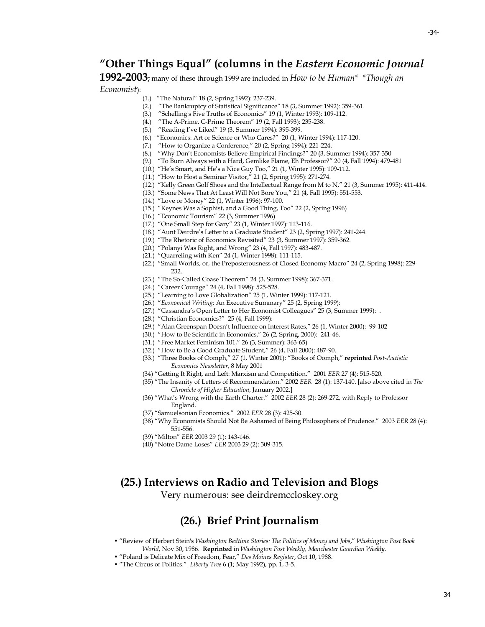### **"Other Things Equal" (columns in the** *Eastern Economic Journal*

**1992-2003;** many of these through 1999 are included in *How to be Human\* \*Though an Economist*):

- 
- (1.) "The Natural" 18 (2, Spring 1992): 237-239.
- (2.) "The Bankruptcy of Statistical Significance" 18 (3, Summer 1992): 359-361.
- (3.) "Schelling's Five Truths of Economics" 19 (1, Winter 1993): 109-112.
- (4.) "The A-Prime, C-Prime Theorem" 19 (2, Fall 1993): 235-238.
- (5.) "Reading I've Liked" 19 (3, Summer 1994): 395-399.
- (6.) "Economics: Art or Science or Who Cares?" 20 (1, Winter 1994): 117-120.
- (7.) "How to Organize a Conference," 20 (2, Spring 1994): 221-224.
- (8.) "Why Don't Economists Believe Empirical Findings?" 20 (3, Summer 1994): 357-350
- (9.) "To Burn Always with a Hard, Gemlike Flame, Eh Professor?" 20 (4, Fall 1994): 479-481
- (10.) "He's Smart, and He's a Nice Guy Too," 21 (1, Winter 1995): 109-112.
- (11.) "How to Host a Seminar Visitor," 21 (2, Spring 1995): 271-274.
- (12.) "Kelly Green Golf Shoes and the Intellectual Range from M to N," 21 (3, Summer 1995): 411-414.
- (13.) "Some News That At Least Will Not Bore You," 21 (4, Fall 1995): 551-553.
- (14.) "Love or Money" 22 (1, Winter 1996): 97-100.
- (15.) "Keynes Was a Sophist, and a Good Thing, Too" 22 (2, Spring 1996)
- (16.) "Economic Tourism" 22 (3, Summer 1996)
- (17.) "One Small Step for Gary" 23 (1, Winter 1997): 113-116.
- (18.) "Aunt Deirdre's Letter to a Graduate Student" 23 (2, Spring 1997): 241-244.
- (19.) "The Rhetoric of Economics Revisited" 23 (3, Summer 1997): 359-362.
- (20.) "Polanyi Was Right, and Wrong" 23 (4, Fall 1997): 483-487.
- (21.) "Quarreling with Ken" 24 (1, Winter 1998): 111-115.
- (22.) "Small Worlds, or, the Preposterousness of Closed Economy Macro" 24 (2, Spring 1998): 229- 232.
- (23.) "The So-Called Coase Theorem" 24 (3, Summer 1998): 367-371.
- (24.) "Career Courage" 24 (4, Fall 1998): 525-528.
- (25.) "Learning to Love Globalization" 25 (1, Winter 1999): 117-121.
- (26.) "*Economical Writing*: An Executive Summary" 25 (2, Spring 1999):
- (27.) "Cassandra's Open Letter to Her Economist Colleagues" 25 (3, Summer 1999): .
- (28.) "Christian Economics?" 25 (4, Fall 1999):
- (29.) "Alan Greenspan Doesn't Influence on Interest Rates," 26 (1, Winter 2000): 99-102
- (30.) "How to Be Scientific in Economics," 26 (2, Spring, 2000): 241-46.
- (31.) "Free Market Feminism 101," 26 (3, Summer): 363-65)
- (32.) "How to Be a Good Graduate Student," 26 (4, Fall 2000): 487-90.
- (33.) "Three Books of Oomph," 27 (1, Winter 2001): "Books of Oomph," **reprinted** *Post-Autistic Economics Newsletter*, 8 May 2001
- (34) "Getting It Right, and Left: Marxism and Competition." 2001 *EER* 27 (4): 515-520.
- (35) "The Insanity of Letters of Recommendation." 2002 *EER* 28 (1): 137-140. [also above cited in *The Chronicle of Higher Education*, January 2002.]
- (36) "What's Wrong with the Earth Charter." 2002 *EER* 28 (2): 269-272, with Reply to Professor England.
- (37) "Samuelsonian Economics." 2002 *EER* 28 (3): 425-30.
- (38) "Why Economists Should Not Be Ashamed of Being Philosophers of Prudence." 2003 *EER* 28 (4): 551-556.
- (39) "Milton" *EER* 2003 29 (1): 143-146.
- (40) "Notre Dame Loses" *EER* 2003 29 (2): 309-315.

### **(25.) Interviews on Radio and Television and Blogs**

Very numerous: see deirdremccloskey.org

### **(26.) Brief Print Journalism**

- "Review of Herbert Stein's *Washington Bedtime Stories: The Politics of Money and Jobs*," *Washington Post Book World*, Nov 30, 1986. **Reprinted** in *Washington Post Weekly, Manchester Guardian Weekly.*
- "Poland is Delicate Mix of Freedom, Fear," *Des Moines Register*, Oct 10, 1988.
- "The Circus of Politics." *Liberty Tree* 6 (1; May 1992), pp. 1, 3-5.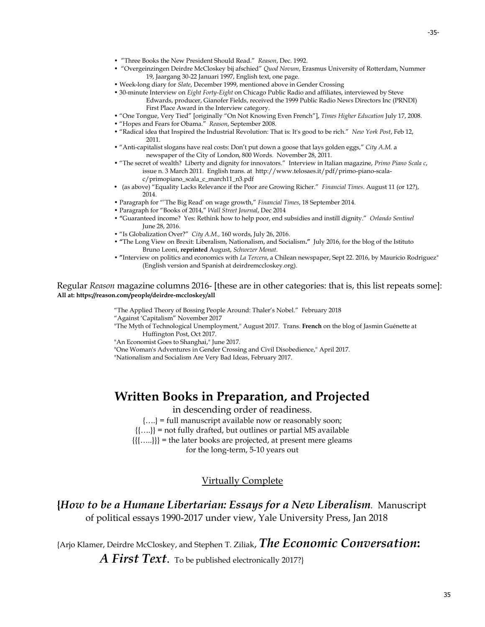- "Three Books the New President Should Read." *Reason*, Dec. 1992.
- "Overgeinzingen Deirdre McCloskey bij afschied" *Quod Novum*, Erasmus University of Rotterdam, Nummer 19, Jaargang 30-22 Januari 1997, English text, one page.
- Week-long diary for *Slate*, December 1999, mentioned above in Gender Crossing
- 30-minute Interview on *[Eight Forty-Eight](http://www.chicagopublicradio.org/programs/848/848.asp)* on Chicago Public Radio and affiliates, interviewed by Steve Edwards, producer, Gianofer Fields, received the 1999 Public Radio News Directors Inc (PRNDI) First Place Award in the Interview category.
- "One Tongue, Very Tied" [originally "On Not Knowing Even French"], *Times Higher Education* July 17, 2008.
- "Hopes and Fears for Obama." *Reason*, September 2008.
- "[Radical idea that Inspired the Industrial Revolution:](http://www.nypost.com/p/news/opinion/books/radical_idea_that_inspired_the_industrial_JIcynrzXprFCplIVvqj70N) That [is: It's good to be rich.](http://www.nypost.com/p/news/opinion/books/radical_idea_that_inspired_the_industrial_JIcynrzXprFCplIVvqj70N)" *New York Post*, Feb 12, 2011.
- "Anti-capitalist slogans have real costs: Don't put down a goose that lays golden eggs," *City A.M.* a newspaper of the City of London, 800 Words. November 28, 2011.
- "The secret of wealth? Liberty and dignity for innovators." Interview in Italian magazine, *Primo Piano Scala c*, issue n. 3 March 2011. English trans. at [http://www.telosaes.it/pdf/primo-piano-scala](http://www.telosaes.it/pdf/primo-piano-scala-c/primopiano_scala_c_march11_n3.pdf)[c/primopiano\\_scala\\_c\\_march11\\_n3.pdf](http://www.telosaes.it/pdf/primo-piano-scala-c/primopiano_scala_c_march11_n3.pdf)
- *•* (as above) "Equality Lacks Relevance if the Poor are Growing Richer." *Financial Times*. August 11 (or 12?), 2014.
- Paragraph for "'The Big Read' on wage growth," *Financial Times*, 18 September 2014.
- Paragraph for "Books of 2014," *Wall Street Journal*, Dec 2014
- **"**Guaranteed income? Yes: Rethink how to help poor, end subsidies and instill dignity." *Orlando Sentinel* June 28, 2016.
- "Is Globalization Over?" *City A.M.,* 160 words, July 26, 2016.
- **"**The Long View on Brexit: Liberalism, Nationalism, and Socialism**."** July 2016, for the blog of the Istituto Bruno Leoni, **reprinted** August, *Schwezer Monat*.
- **"**Interview on politics and economics with *La Tercera*, a Chilean newspaper, Sept 22. 2016, by Mauricio Rodriguez" (English version and Spanish at deirdremccloskey.org).

Regular *Reason* magazine columns 2016- [these are in other categories: that is, this list repeats some]: **All at[: https://reason.com/people/deirdre-mccloskey/all](https://reason.com/people/deirdre-mccloskey/all)**

"The Applied Theory of Bossing People Around: Thaler's Nobel." February 2018

- "Against 'Capitalism" November 2017
- "The Myth of Technological Unemployment," August 2017. Trans. **French** on the blog of Jasmin Guénette at Huffington Post, Oct 2017.

["An Economist Goes to Shanghai,"](https://reason.com/archives/2017/05/11/an-economist-goes-to-shanghai) June 2017.

["One Woman's Adventures in Gender Crossing and Civil Disobedience,](https://reason.com/archives/2017/03/18/sex-shrinks-and-the-state)" April 2017.

["Nationalism and Socialism Are Very Bad Ideas,](https://reason.com/archives/2017/01/26/three-big-ideas) February 2017.

# **Written Books in Preparation, and Projected**

in descending order of readiness.

{….} = full manuscript available now or reasonably soon;

{{….}} = not fully drafted, but outlines or partial MS available {{{…..}}} = the later books are projected, at present mere gleams

for the long-term, 5-10 years out

#### Virtually Complete

**{***How to be a Humane Libertarian: Essays for a New Liberalism.* Manuscript of political essays 1990-2017 under view, Yale University Press, Jan 2018

{Arjo Klamer, Deirdre McCloskey, and Stephen T. Ziliak, *The Economic Conversation***:** 

A First Text. To be published electronically 2017?}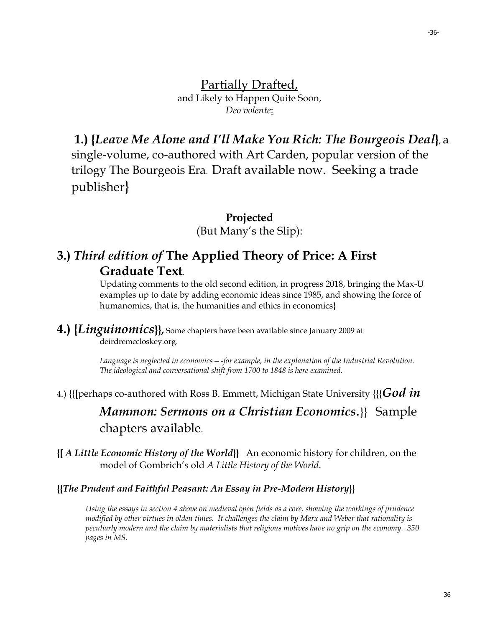Partially Drafted, and Likely to Happen Quite Soon, *Deo volente*:

**1.) {***Leave Me Alone and I'll Make You Rich: The Bourgeois Deal***}**, a single-volume, co-authored with Art Carden, popular version of the trilogy The Bourgeois Era. Draft available now. Seeking a trade publisher}

### **Projected**

(But Many's the Slip):

# **3.)** *Third edition of* **The Applied Theory of Price: A First Graduate Text***.*

Updating comments to the old second edition, in progress 2018, bringing the Max-U examples up to date by adding economic ideas since 1985, and showing the force of humanomics, that is, the humanities and ethics in economics

**4.) {***Linguinomics***}},** Some chapters have been available since January 2009 at deirdremccloskey.org.

> *Language is neglected in economics—-for example, in the explanation of the Industrial Revolution. The ideological and conversational shift from 1700 to 1848 is here examined.*

<sup>4</sup>.) {{[perhaps co-authored with Ross B. Emmett, Michigan State University {{{*God in* 

# *Mammon: Sermons on a Christian Economics*.}} Sample chapters available.

**{[** *A Little Economic History of the World***}}** An economic history for children, on the model of Gombrich's old *A Little History of the World*.

#### **{{***The Prudent and Faithful Peasant: An Essay in Pre-Modern History***}}**

*Using the essays in section 4 above on medieval open fields as a core, showing the workings of prudence modified by other virtues in olden times. It challenges the claim by Marx and Weber that rationality is peculiarly modern and the claim by materialists that religious motives have no grip on the economy. 350 pages in MS.*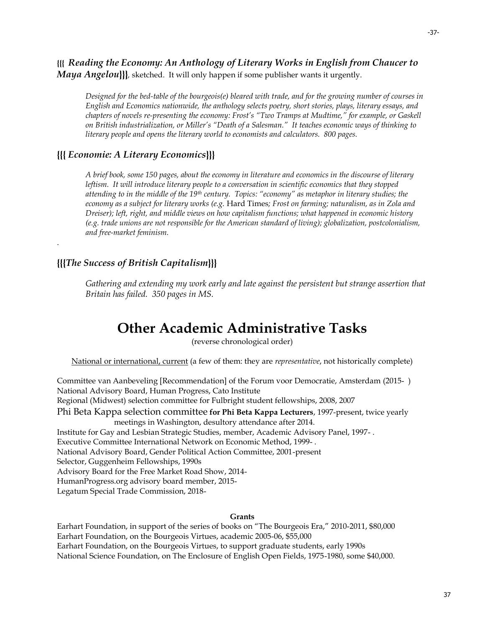**{{{** *Reading the Economy: An Anthology of Literary Works in English from Chaucer to Maya Angelou***}}}***,* sketched. It will only happen if some publisher wants it urgently.

*Designed for the bed-table of the bourgeois(e) bleared with trade, and for the growing number of courses in English and Economics nationwide, the anthology selects poetry, short stories, plays, literary essays, and chapters of novels re-presenting the economy: Frost's "Two Tramps at Mudtime," for example, or Gaskell on British industrialization, or Miller's "Death of a Salesman." It teaches economic ways of thinking to literary people and opens the literary world to economists and calculators. 800 pages.*

### **{{{** *Economie: A Literary Economics***}}}**

*A brief book, some 150 pages, about the economy in literature and economics in the discourse of literary leftism. It will introduce literary people to a conversation in scientific economics that they stopped attending to in the middle of the 19th century. Topics: "economy" as metaphor in literary studies; the economy as a subject for literary works (e.g.* Hard Times*; Frost on farming; naturalism, as in Zola and Dreiser); left, right, and middle views on how capitalism functions; what happened in economic history (e.g. trade unions are not responsible for the American standard of living); globalization, postcolonialism, and free-market feminism.*

### **{{{***The Success of British Capitalism***}}}**

.

*Gathering and extending my work early and late against the persistent but strange assertion that Britain has failed. 350 pages in MS.*

# **Other Academic Administrative Tasks**

(reverse chronological order)

National or international, current (a few of them: they are *representative*, not historically complete)

Committee van Aanbeveling [Recommendation] of the Forum voor Democratie, Amsterdam (2015- ) National Advisory Board, Human Progress, Cato Institute Regional (Midwest) selection committee for Fulbright student fellowships, 2008, 2007 Phi Beta Kappa selection committee **for Phi Beta Kappa Lecturers**, 1997-present, twice yearly meetings in Washington, desultory attendance after 2014. Institute for Gay and Lesbian Strategic Studies, member, Academic Advisory Panel, 1997- . Executive Committee International Network on Economic Method, 1999- . National Advisory Board, Gender Political Action Committee, 2001-present Selector, Guggenheim Fellowships, 1990s Advisory Board for the Free Market Road Show, 2014- HumanProgress.org advisory board member, 2015- Legatum Special Trade Commission, 2018-

#### **Grants**

Earhart Foundation, in support of the series of books on "The Bourgeois Era," 2010-2011, \$80,000 Earhart Foundation, on the Bourgeois Virtues, academic 2005-06, \$55,000 Earhart Foundation, on the Bourgeois Virtues, to support graduate students, early 1990s National Science Foundation, on The Enclosure of English Open Fields, 1975-1980, some \$40,000.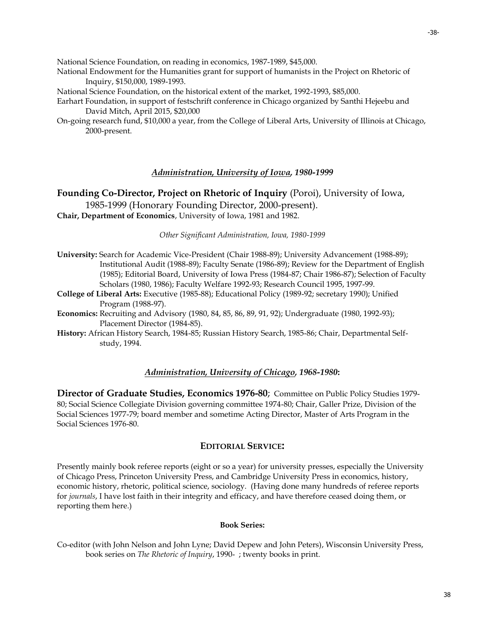National Science Foundation, on reading in economics, 1987-1989, \$45,000.

- National Endowment for the Humanities grant for support of humanists in the Project on Rhetoric of Inquiry, \$150,000, 1989-1993.
- National Science Foundation, on the historical extent of the market, 1992-1993, \$85,000.
- Earhart Foundation, in support of festschrift conference in Chicago organized by Santhi Hejeebu and David Mitch, April 2015, \$20,000
- On-going research fund, \$10,000 a year, from the College of Liberal Arts, University of Illinois at Chicago, 2000-present.

### *Administration, University of Iowa, 1980-1999*

**Founding Co-Director, Project on Rhetoric of Inquiry** (Poroi), University of Iowa,

1985-1999 (Honorary Founding Director, 2000-present). **Chair, Department of Economics**, University of Iowa, 1981 and 1982.

#### *Other Significant Administration, Iowa, 1980-1999*

- **University:** Search for Academic Vice-President (Chair 1988-89); University Advancement (1988-89); Institutional Audit (1988-89); Faculty Senate (1986-89); Review for the Department of English (1985); Editorial Board, University of Iowa Press (1984-87; Chair 1986-87); Selection of Faculty Scholars (1980, 1986); Faculty Welfare 1992-93; Research Council 1995, 1997-99.
- **College of Liberal Arts:** Executive (1985-88); Educational Policy (1989-92; secretary 1990); Unified Program (1988-97).
- **Economics:** Recruiting and Advisory (1980, 84, 85, 86, 89, 91, 92); Undergraduate (1980, 1992-93); Placement Director (1984-85).
- **History:** African History Search, 1984-85; Russian History Search, 1985-86; Chair, Departmental Selfstudy, 1994.

#### *Administration, University of Chicago, 1968-1980***:**

**Director of Graduate Studies, Economics 1976-80**; Committee on Public Policy Studies 1979- 80; Social Science Collegiate Division governing committee 1974-80; Chair, Galler Prize, Division of the Social Sciences 1977-79; board member and sometime Acting Director, Master of Arts Program in the Social Sciences 1976-80.

#### **EDITORIAL SERVICE:**

Presently mainly book referee reports (eight or so a year) for university presses, especially the University of Chicago Press, Princeton University Press, and Cambridge University Press in economics, history, economic history, rhetoric, political science, sociology. (Having done many hundreds of referee reports for *journals*, I have lost faith in their integrity and efficacy, and have therefore ceased doing them, or reporting them here.)

#### **Book Series:**

Co-editor (with John Nelson and John Lyne; David Depew and John Peters), Wisconsin University Press, book series on *The Rhetoric of Inquiry*, 1990- ; twenty books in print.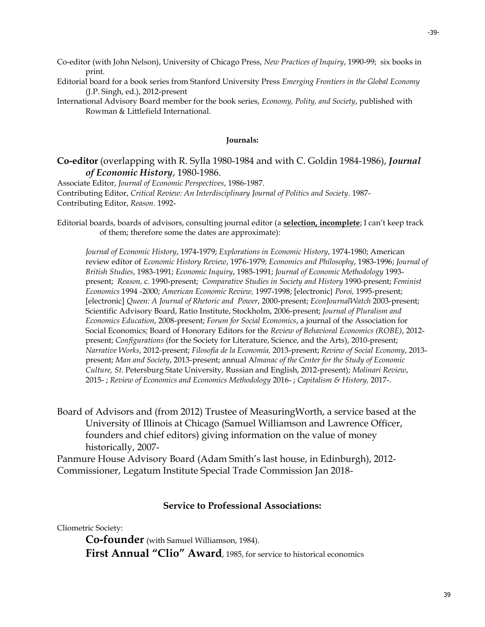-39-

- Co-editor (with John Nelson), University of Chicago Press, *New Practices of Inquiry*, 1990-99; six books in print.
- Editorial board for a book series from Stanford University Press *Emerging Frontiers in the Global Economy* [\(J.P. Singh,](http://globalaffairs.gmu.edu/people/jsingh19) ed.), 2012-present
- International Advisory Board member for the book series, *Economy, Polity, and Society*, published with Rowman & Littlefield International.

#### **Journals:**

### **Co-editor** (overlapping with R. Sylla 1980-1984 and with C. Goldin 1984-1986), *Journal of Economic History*, 1980-1986.

Associate Editor, *Journal of Economic Perspectives*, 1986-1987. Contributing Editor, *[Critical Review: An Interdisciplinary Journal of Politics and Society](http://www.criticalreview.com/cr/crindex.html)*. 1987- Contributing Editor, *Reason*. 1992-

Editorial boards, boards of advisors, consulting journal editor (a **selection, incomplete**; I can't keep track of them; therefore some the dates are approximate):

*Journal of Economic History*, 1974-1979; *Explorations in Economic History*, 1974-1980; American review editor of *Economic History Review*, 1976-1979; *Economics and Philosophy*, 1983-1996; *Journal of British Studies*, 1983-1991; *Economic Inquiry*, 1985-1991; *Journal of Economic Methodology* 1993 present; *Reason,* c. 1990-present; *Comparative Studies in Society and History* 1990-present; *Feminist Economics* 1994 -2000; *American Economic Review,* 1997-1998; [electronic} *Poroi,* 1995-present; [electronic] *Queen: A Journal of Rhetoric and Power*, 2000-present; *EconJournalWatch* 2003-present; Scientific Advisory Board, Ratio Institute, Stockholm, 2006-present; *Journal of Pluralism and Economics Education*, 2008-present; *Forum for Social Economics*, a journal of the Association for Social Economics*;* Board of Honorary Editors for the *Review of Behavioral Economics (ROBE)*, 2012 present; *Configurations* (for the Society for Literature, Science, and the Arts), 2010-present; *Narrative Works*, 2012-present; *Filosofía de la Economía,* 2013-present; *Review of Social Economy*, 2013 present; *Man and Society*, 2013-present; annual A*lmanac of the Center for the Study of Economic Culture, St*. Petersburg State University, Russian and English, 2012-present); *Molinari Review*, 2015- ; *Review of Economics and Economics Methodology* 2016- ; *Capitalism & History,* 2017-.

Board of Advisors and (from 2012) Trustee of MeasuringWorth, a service based at the University of Illinois at Chicago (Samuel Williamson and Lawrence Officer, founders and chief editors) giving information on the value of money historically, 2007-

Panmure House Advisory Board (Adam Smith's last house, in Edinburgh), 2012- Commissioner, Legatum Institute Special Trade Commission Jan 2018-

### **Service to Professional Associations:**

Cliometric Society:

**Co-founder** (with Samuel Williamson, 1984).

**First Annual "Clio" Award**, 1985, for service to historical economics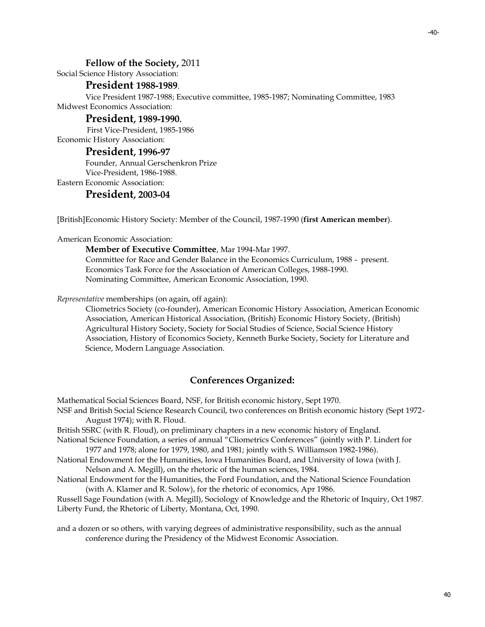#### -40-

#### **Fellow of the Society,** 2011

Social Science History Association:

#### **President 1988-1989**.

Vice President 1987-1988; Executive committee, 1985-1987; Nominating Committee, 1983 Midwest Economics Association:

#### **President, 1989-1990.**

First Vice-President, 1985-1986

Economic History Association:

### **President, 1996-97**

Founder, Annual Gerschenkron Prize Vice-President, 1986-1988. Eastern Economic Association:

#### **President, 2003-04**

[British]Economic History Society: Member of the Council, 1987-1990 (**first American member**).

American Economic Association:

**Member of Executive Committee**, Mar 1994-Mar 1997.

Committee for Race and Gender Balance in the Economics Curriculum, 1988 - present. Economics Task Force for the Association of American Colleges, 1988-1990. Nominating Committee, American Economic Association, 1990.

*Representative* memberships (on again, off again):

Cliometrics Society (co-founder), American Economic History Association, American Economic Association, American Historical Association, (British) Economic History Society, (British) Agricultural History Society, Society for Social Studies of Science, Social Science History Association, History of Economics Society, Kenneth Burke Society, Society for Literature and Science, Modern Language Association.

#### **Conferences Organized:**

Mathematical Social Sciences Board, NSF, for British economic history, Sept 1970.

NSF and British Social Science Research Council, two conferences on British economic history (Sept 1972- August 1974); with R. Floud.

British SSRC (with R. Floud), on preliminary chapters in a new economic history of England.

National Science Foundation, a series of annual "Cliometrics Conferences" (jointly with P. Lindert for 1977 and 1978; alone for 1979, 1980, and 1981; jointly with S. Williamson 1982-1986).

National Endowment for the Humanities, Iowa Humanities Board, and University of Iowa (with J. Nelson and A. Megill), on the rhetoric of the human sciences, 1984.

National Endowment for the Humanities, the Ford Foundation, and the National Science Foundation (with A. Klamer and R. Solow), for the rhetoric of economics, Apr 1986.

Russell Sage Foundation (with A. Megill), Sociology of Knowledge and the Rhetoric of Inquiry, Oct 1987. Liberty Fund, the Rhetoric of Liberty, Montana, Oct, 1990.

and a dozen or so others, with varying degrees of administrative responsibility, such as the annual conference during the Presidency of the Midwest Economic Association.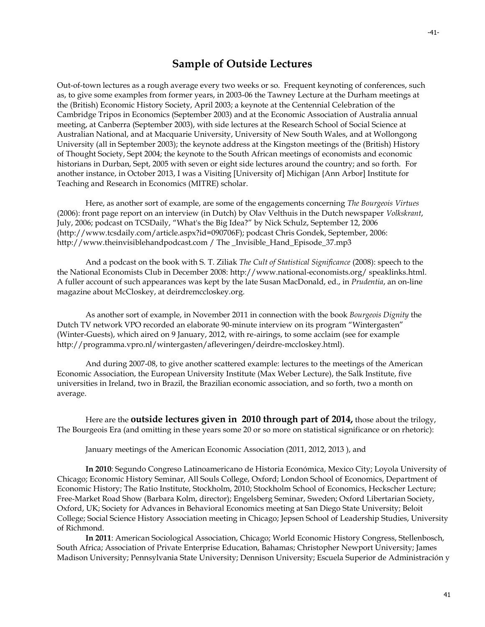### **Sample of Outside Lectures**

Out-of-town lectures as a rough average every two weeks or so. Frequent keynoting of conferences, such as, to give some examples from former years, in 2003-06 the Tawney Lecture at the Durham meetings at the (British) Economic History Society, April 2003; a keynote at the Centennial Celebration of the Cambridge Tripos in Economics (September 2003) and at the Economic Association of Australia annual meeting, at Canberra (September 2003), with side lectures at the Research School of Social Science at Australian National, and at Macquarie University, University of New South Wales, and at Wollongong University (all in September 2003); the keynote address at the Kingston meetings of the (British) History of Thought Society, Sept 2004; the keynote to the South African meetings of economists and economic historians in Durban, Sept, 2005 with seven or eight side lectures around the country; and so forth. For another instance, in October 2013, I was a Visiting [University of] Michigan {Ann Arbor] Institute for Teaching and Research in Economics (MITRE) scholar.

Here, as another sort of example, are some of the engagements concerning *The Bourgeois Virtues* (2006): front page report on an interview (in Dutch) by Olav Velthuis in the Dutch newspaper *Volkskrant*, July, 2006; podcast on TCSDaily, "What's the Big Idea?" by Nick Schulz, September 12, 2006 (http://www.tcsdaily.com/article.aspx?id=090706F); podcast Chris Gondek, September, 2006: http://www.theinvisiblehandpodcast.com / The \_Invisible\_Hand\_Episode\_37.mp3

And a podcast on the book with S. T. Ziliak *The Cult of Statistical Significance* (2008): speech to the the National Economists Club in December 2008: [http://www.national-economists.org/ speaklinks.html.](http://www.national-economists.org/%20speaklinks.html)  A fuller account of such appearances was kept by the late Susan MacDonald, ed., in *Prudentia*, an on-line magazine about McCloskey, at deirdremccloskey.org.

As another sort of example, in November 2011 in connection with the book *Bourgeois Dignity* the Dutch TV network VPO recorded an elaborate 90-minute interview on its program "Wintergasten" (Winter-Guests), which aired on 9 January, 2012, with re-airings, to some acclaim (see for example http://programma.vpro.nl/wintergasten/afleveringen/deirdre-mccloskey.html).

And during 2007-08, to give another scattered example: lectures to the meetings of the American Economic Association, the European University Institute (Max Weber Lecture), the Salk Institute, five universities in Ireland, two in Brazil, the Brazilian economic association, and so forth, two a month on average.

Here are the **outside lectures given in 2010 through part of 2014,** those about the trilogy, The Bourgeois Era (and omitting in these years some 20 or so more on statistical significance or on rhetoric):

January meetings of the American Economic Association (2011, 2012, 2013 ), and

**In 2010**: Segundo Congreso Latinoamericano de Historia Económica, Mexico City; Loyola University of Chicago; Economic History Seminar, All Souls College, Oxford; London School of Economics, Department of Economic History; The Ratio Institute, Stockholm, 2010; Stockholm School of Economics, Heckscher Lecture; Free-Market Road Show (Barbara Kolm, director); Engelsberg Seminar, Sweden; Oxford Libertarian Society, Oxford, UK; Society for Advances in Behavioral Economics meeting at San Diego State University; Beloit College; Social Science History Association meeting in Chicago; Jepsen School of Leadership Studies, University of Richmond.

**In 2011**: American Sociological Association, Chicago; World Economic History Congress, Stellenbosch, South Africa; Association of Private Enterprise Education, Bahamas; Christopher Newport University; James Madison University; Pennsylvania State University; Dennison University; Escuela Superior de Administración y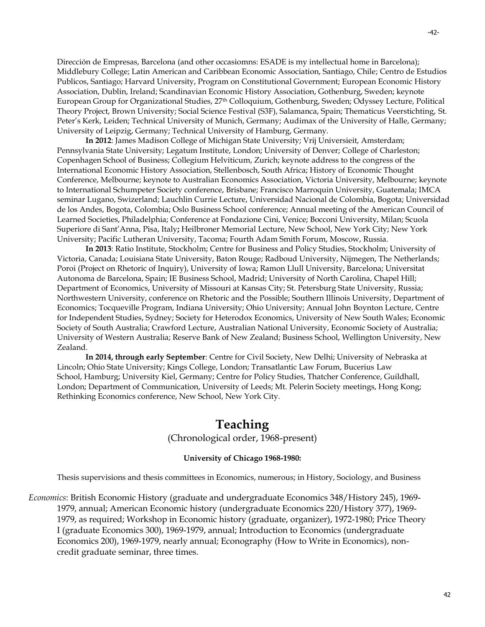Dirección de Empresas, Barcelona (and other occasiomns: ESADE is my intellectual home in Barcelona); Middlebury College; Latin American and Caribbean Economic Association, Santiago, Chile; Centro de Estudios Publicos, Santiago; Harvard University, Program on Constitutional Government; European Economic History Association, Dublin, Ireland; Scandinavian Economic History Association, Gothenburg, Sweden; keynote European Group for Organizational Studies, 27th Colloquium, Gothenburg, Sweden; Odyssey Lecture, Political Theory Project, Brown University; Social Science Festival (S3F), Salamanca, Spain; Thematicus Veerstichting, St. Peter's Kerk, Leiden; Technical University of Munich, Germany; Audimax of the University of Halle, Germany; University of Leipzig, Germany; Technical University of Hamburg, Germany.

**In 2012**: James Madison College of Michigan State University; Vrij Universieit, Amsterdam; Pennsylvania State University; Legatum Institute, London; University of Denver; College of Charleston; Copenhagen School of Business; Collegium Helviticum, Zurich; keynote address to the congress of the International Economic History Association, Stellenbosch, South Africa; History of Economic Thought Conference, Melbourne; keynote to Australian Economics Association, Victoria University, Melbourne; keynote to International Schumpeter Society conference, Brisbane; Francisco Marroquin University, Guatemala; IMCA seminar Lugano, Swizerland; Lauchlin Currie Lecture, Universidad Nacional de Colombia, Bogota; Universidad de los Andes, Bogota, Colombia; Oslo Business School conference; Annual meeting of the American Council of Learned Societies, Philadelphia; Conference at Fondazione Cini, Venice; Bocconi University, Milan; Scuola Superiore di Sant'Anna, Pisa, Italy**;** Heilbroner Memorial Lecture, New School, New York City; New York University; Pacific Lutheran University, Tacoma; Fourth Adam Smith Forum, Moscow, Russia.

**In 2013**: Ratio Institute, Stockholm; Centre for Business and Policy Studies, Stockholm; University of Victoria, Canada; Louisiana State University, Baton Rouge; Radboud University, Nijmegen, The Netherlands; Poroi (Project on Rhetoric of Inquiry), University of Iowa; Ramon Llull University, Barcelona; Universitat Autonoma de Barcelona, Spain; IE Business School, Madrid; University of North Carolina, Chapel Hill; Department of Economics, University of Missouri at Kansas City; St. Petersburg State University, Russia; Northwestern University, conference on Rhetoric and the Possible; Southern Illinois University, Department of Economics; Tocqueville Program, Indiana University; Ohio University; Annual John Boynton Lecture, Centre for Independent Studies, Sydney; Society for Heterodox Economics, University of New South Wales; Economic Society of South Australia; Crawford Lecture, Australian National University, Economic Society of Australia; University of Western Australia; Reserve Bank of New Zealand; Business School, Wellington University, New Zealand.

**In 2014, through early September**: Centre for Civil Society, New Delhi; University of Nebraska at Lincoln; Ohio State University; Kings College, London; Transatlantic Law Forum, Bucerius Law School, Hamburg; University Kiel, Germany; Centre for Policy Studies, Thatcher Conference, Guildhall, London; Department of Communication, University of Leeds; Mt. Pelerin Society meetings, Hong Kong; Rethinking Economics conference, New School, New York City.

# **Teaching**

(Chronological order, 1968-present)

#### **University of Chicago 1968-1980:**

Thesis supervisions and thesis committees in Economics, numerous; in History, Sociology, and Business

*Economics*: British Economic History (graduate and undergraduate Economics 348/History 245), 1969- 1979, annual; American Economic history (undergraduate Economics 220/History 377), 1969- 1979, as required; Workshop in Economic history (graduate, organizer), 1972-1980; Price Theory I (graduate Economics 300), 1969-1979, annual; Introduction to Economics (undergraduate Economics 200), 1969-1979, nearly annual; Econography (How to Write in Economics), noncredit graduate seminar, three times.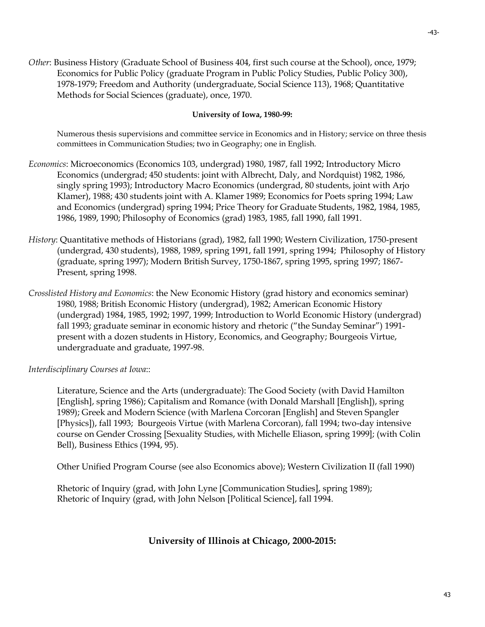*Other*: Business History (Graduate School of Business 404, first such course at the School), once, 1979; Economics for Public Policy (graduate Program in Public Policy Studies, Public Policy 300), 1978-1979; Freedom and Authority (undergraduate, Social Science 113), 1968; Quantitative Methods for Social Sciences (graduate), once, 1970.

#### **University of Iowa, 1980-99:**

Numerous thesis supervisions and committee service in Economics and in History; service on three thesis committees in Communication Studies; two in Geography; one in English.

- *Economics*: Microeconomics (Economics 103, undergrad) 1980, 1987, fall 1992; Introductory Micro Economics (undergrad; 450 students: joint with Albrecht, Daly, and Nordquist) 1982, 1986, singly spring 1993); Introductory Macro Economics (undergrad, 80 students, joint with Arjo Klamer), 1988; 430 students joint with A. Klamer 1989; Economics for Poets spring 1994; Law and Economics (undergrad) spring 1994; Price Theory for Graduate Students, 1982, 1984, 1985, 1986, 1989, 1990; Philosophy of Economics (grad) 1983, 1985, fall 1990, fall 1991.
- *History*: Quantitative methods of Historians (grad), 1982, fall 1990; Western Civilization, 1750-present (undergrad, 430 students), 1988, 1989, spring 1991, fall 1991, spring 1994; Philosophy of History (graduate, spring 1997); Modern British Survey, 1750-1867, spring 1995, spring 1997; 1867- Present, spring 1998.
- *Crosslisted History and Economics*: the New Economic History (grad history and economics seminar) 1980, 1988; British Economic History (undergrad), 1982; American Economic History (undergrad) 1984, 1985, 1992; 1997, 1999; Introduction to World Economic History (undergrad) fall 1993; graduate seminar in economic history and rhetoric ("the Sunday Seminar") 1991 present with a dozen students in History, Economics, and Geography; Bourgeois Virtue, undergraduate and graduate, 1997-98.

*Interdisciplinary Courses at Iowa*::

Literature, Science and the Arts (undergraduate): The Good Society (with David Hamilton [English], spring 1986); Capitalism and Romance (with Donald Marshall [English]), spring 1989); Greek and Modern Science (with Marlena Corcoran [English] and Steven Spangler [Physics]), fall 1993; Bourgeois Virtue (with Marlena Corcoran), fall 1994; two-day intensive course on Gender Crossing [Sexuality Studies, with Michelle Eliason, spring 1999]; (with Colin Bell), Business Ethics (1994, 95).

Other Unified Program Course (see also Economics above); Western Civilization II (fall 1990)

Rhetoric of Inquiry (grad, with John Lyne [Communication Studies], spring 1989); Rhetoric of Inquiry (grad, with John Nelson [Political Science], fall 1994.

### **University of Illinois at Chicago, 2000-2015:**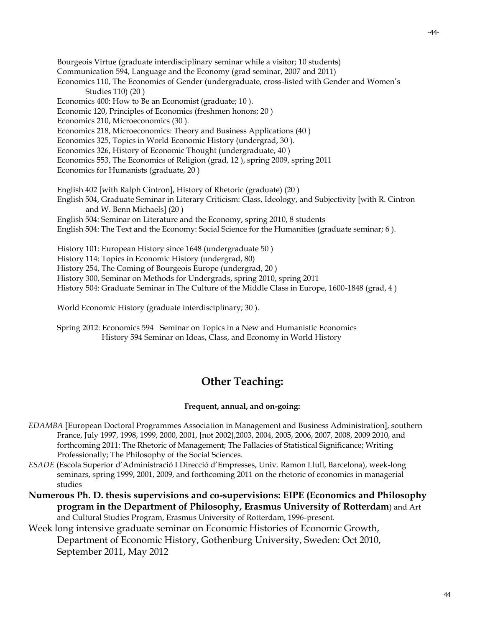Bourgeois Virtue (graduate interdisciplinary seminar while a visitor; 10 students) Communication 594, Language and the Economy (grad seminar, 2007 and 2011) Economics 110, The Economics of Gender (undergraduate, cross-listed with Gender and Women's Studies 110) (20 ) Economics 400: How to Be an Economist (graduate; 10 ). Economic 120, Principles of Economics (freshmen honors; 20 ) Economics 210, Microeconomics (30 ). Economics 218, Microeconomics: Theory and Business Applications (40 ) Economics 325, Topics in World Economic History (undergrad, 30 ). Economics 326, History of Economic Thought (undergraduate, 40 ) Economics 553, The Economics of Religion (grad, 12 ), spring 2009, spring 2011 Economics for Humanists (graduate, 20 ) English 402 [with Ralph Cintron], History of Rhetoric (graduate) (20 ) English 504, Graduate Seminar in Literary Criticism: Class, Ideology, and Subjectivity [with R. Cintron and W. Benn Michaels] (20 ) English 504: Seminar on Literature and the Economy, spring 2010, 8 students English 504: The Text and the Economy: Social Science for the Humanities (graduate seminar; 6 ). History 101: European History since 1648 (undergraduate 50 ) History 114: Topics in Economic History (undergrad, 80) History 254, The Coming of Bourgeois Europe (undergrad, 20 ) History 300, Seminar on Methods for Undergrads, spring 2010, spring 2011 History 504: Graduate Seminar in The Culture of the Middle Class in Europe, 1600-1848 (grad, 4 )

World Economic History (graduate interdisciplinary; 30 ).

Spring 2012: Economics 594 Seminar on Topics in a New and Humanistic Economics History 594 Seminar on Ideas, Class, and Economy in World History

# **Other Teaching:**

### **Frequent, annual, and on-going:**

- *EDAMBA* [European Doctoral Programmes Association in Management and Business Administration], southern France, July 1997, 1998, 1999, 2000, 2001, [not 2002],2003, 2004, 2005, 2006, 2007, 2008, 2009 2010, and forthcoming 2011: The Rhetoric of Management; The Fallacies of Statistical Significance; Writing Professionally; The Philosophy of the Social Sciences.
- *ESADE* (Escola Superior d'Administració I Direcció d'Empresses, Univ. Ramon Llull, Barcelona), week-long seminars, spring 1999, 2001, 2009, and forthcoming 2011 on the rhetoric of economics in managerial studies
- **Numerous Ph. D. thesis supervisions and co-supervisions: EIPE (Economics and Philosophy program in the Department of Philosophy, Erasmus University of Rotterdam**) and Art and Cultural Studies Program, Erasmus University of Rotterdam, 1996-present.

# Week long intensive graduate seminar on Economic Histories of Economic Growth, Department of Economic History, Gothenburg University, Sweden: Oct 2010, September 2011, May 2012